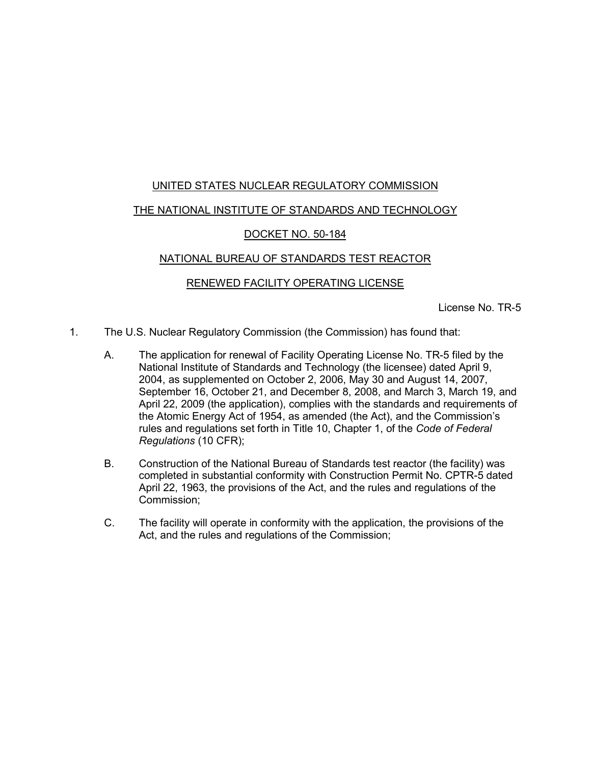# UNITED STATES NUCLEAR REGULATORY COMMISSION

# THE NATIONAL INSTITUTE OF STANDARDS AND TECHNOLOGY

# DOCKET NO. 50-184

# NATIONAL BUREAU OF STANDARDS TEST REACTOR

### RENEWED FACILITY OPERATING LICENSE

License No. TR-5

- 1. The U.S. Nuclear Regulatory Commission (the Commission) has found that:
	- A. The application for renewal of Facility Operating License No. TR-5 filed by the National Institute of Standards and Technology (the licensee) dated April 9, 2004, as supplemented on October 2, 2006, May 30 and August 14, 2007, September 16, October 21, and December 8, 2008, and March 3, March 19, and April 22, 2009 (the application), complies with the standards and requirements of the Atomic Energy Act of 1954, as amended (the Act), and the Commission's rules and regulations set forth in Title 10, Chapter 1, of the *Code of Federal Regulations* (10 CFR);
	- B. Construction of the National Bureau of Standards test reactor (the facility) was completed in substantial conformity with Construction Permit No. CPTR-5 dated April 22, 1963, the provisions of the Act, and the rules and regulations of the Commission;
	- C. The facility will operate in conformity with the application, the provisions of the Act, and the rules and regulations of the Commission;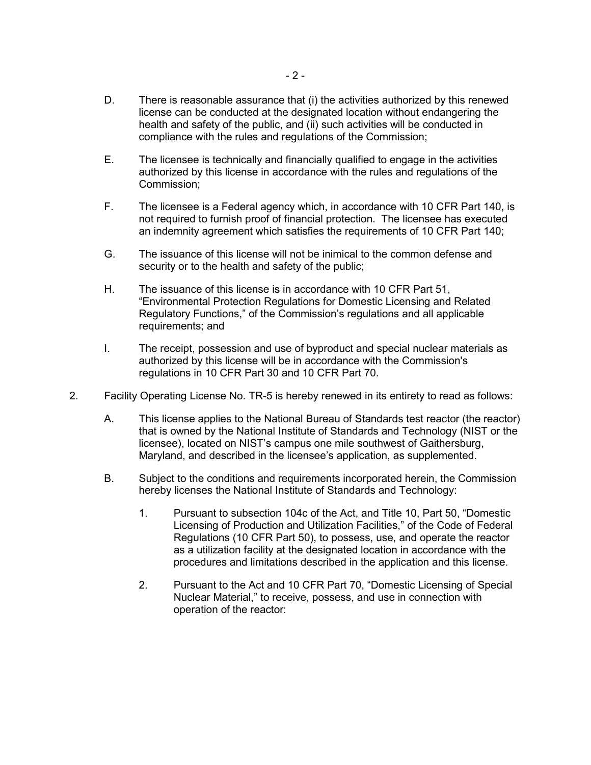- D. There is reasonable assurance that (i) the activities authorized by this renewed license can be conducted at the designated location without endangering the health and safety of the public, and (ii) such activities will be conducted in compliance with the rules and regulations of the Commission;
- E. The licensee is technically and financially qualified to engage in the activities authorized by this license in accordance with the rules and regulations of the Commission;
- F. The licensee is a Federal agency which, in accordance with 10 CFR Part 140, is not required to furnish proof of financial protection. The licensee has executed an indemnity agreement which satisfies the requirements of 10 CFR Part 140;
- G. The issuance of this license will not be inimical to the common defense and security or to the health and safety of the public;
- H. The issuance of this license is in accordance with 10 CFR Part 51, "Environmental Protection Regulations for Domestic Licensing and Related Regulatory Functions," of the Commission's regulations and all applicable requirements; and
- I. The receipt, possession and use of byproduct and special nuclear materials as authorized by this license will be in accordance with the Commission's regulations in 10 CFR Part 30 and 10 CFR Part 70.
- 2. Facility Operating License No. TR-5 is hereby renewed in its entirety to read as follows:
	- A. This license applies to the National Bureau of Standards test reactor (the reactor) that is owned by the National Institute of Standards and Technology (NIST or the licensee), located on NIST's campus one mile southwest of Gaithersburg, Maryland, and described in the licensee's application, as supplemented.
	- B. Subject to the conditions and requirements incorporated herein, the Commission hereby licenses the National Institute of Standards and Technology:
		- 1. Pursuant to subsection 104c of the Act, and Title 10, Part 50, "Domestic Licensing of Production and Utilization Facilities," of the Code of Federal Regulations (10 CFR Part 50), to possess, use, and operate the reactor as a utilization facility at the designated location in accordance with the procedures and limitations described in the application and this license.
		- 2. Pursuant to the Act and 10 CFR Part 70, "Domestic Licensing of Special Nuclear Material," to receive, possess, and use in connection with operation of the reactor: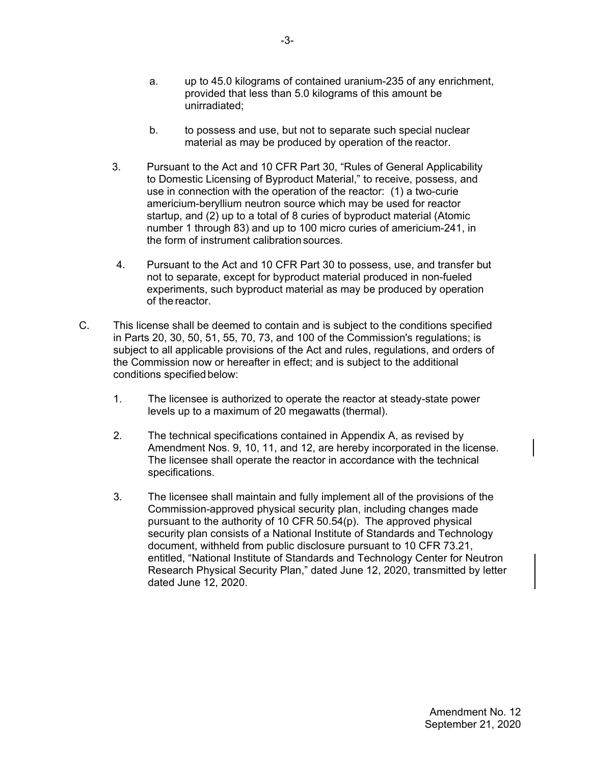- a. up to 45.0 kilograms of contained uranium-235 of any enrichment, provided that less than 5.0 kilograms of this amount be unirradiated;
- b. to possess and use, but not to separate such special nuclear material as may be produced by operation of the reactor.
- 3. Pursuant to the Act and 10 CFR Part 30, "Rules of General Applicability to Domestic Licensing of Byproduct Material," to receive, possess, and use in connection with the operation of the reactor: (1) a two-curie americium-beryllium neutron source which may be used for reactor startup, and (2) up to a total of 8 curies of byproduct material (Atomic number 1 through 83) and up to 100 micro curies of americium-241, in the form of instrument calibration sources.
- 4. Pursuant to the Act and 10 CFR Part 30 to possess, use, and transfer but not to separate, except for byproduct material produced in non-fueled experiments, such byproduct material as may be produced by operation of the reactor.
- C. This license shall be deemed to contain and is subject to the conditions specified in Parts 20, 30, 50, 51, 55, 70, 73, and 100 of the Commission's regulations; is subject to all applicable provisions of the Act and rules, regulations, and orders of the Commission now or hereafter in effect; and is subject to the additional conditions specified below:
	- 1. The licensee is authorized to operate the reactor at steady-state power levels up to a maximum of 20 megawatts (thermal).
	- 2. The technical specifications contained in Appendix A, as revised by Amendment Nos. 9, 10, 11, and 12, are hereby incorporated in the license. The licensee shall operate the reactor in accordance with the technical specifications.
	- 3. The licensee shall maintain and fully implement all of the provisions of the Commission-approved physical security plan, including changes made pursuant to the authority of 10 CFR 50.54(p). The approved physical security plan consists of a National Institute of Standards and Technology document, withheld from public disclosure pursuant to 10 CFR 73.21, entitled, "National Institute of Standards and Technology Center for Neutron Research Physical Security Plan," dated June 12, 2020, transmitted by letter dated June 12, 2020.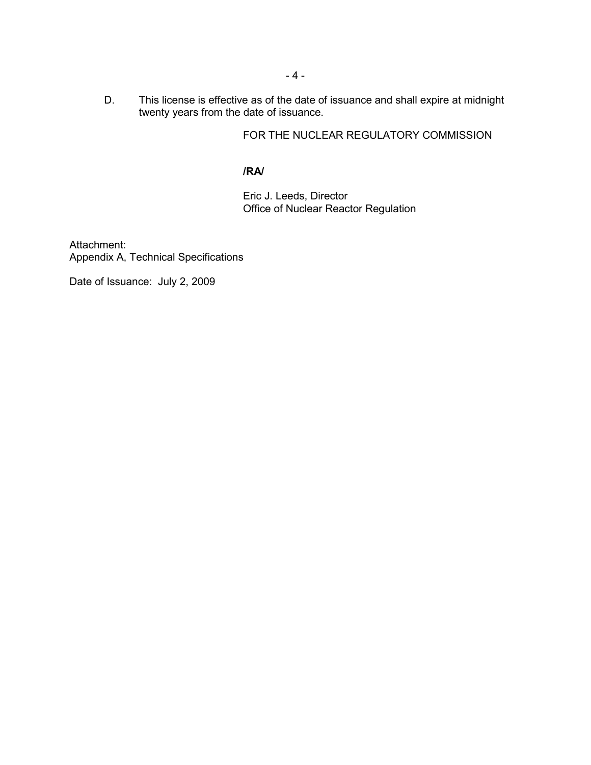D. This license is effective as of the date of issuance and shall expire at midnight twenty years from the date of issuance.

FOR THE NUCLEAR REGULATORY COMMISSION

# **/RA/**

Eric J. Leeds, Director Office of Nuclear Reactor Regulation

Attachment: Appendix A, Technical Specifications

Date of Issuance: July 2, 2009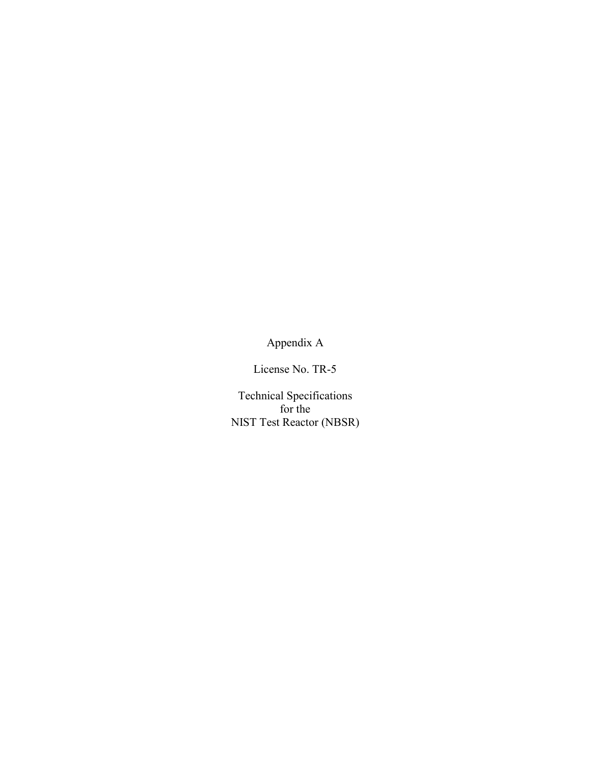Appendix A

License No. TR-5

Technical Specifications for the NIST Test Reactor (NBSR)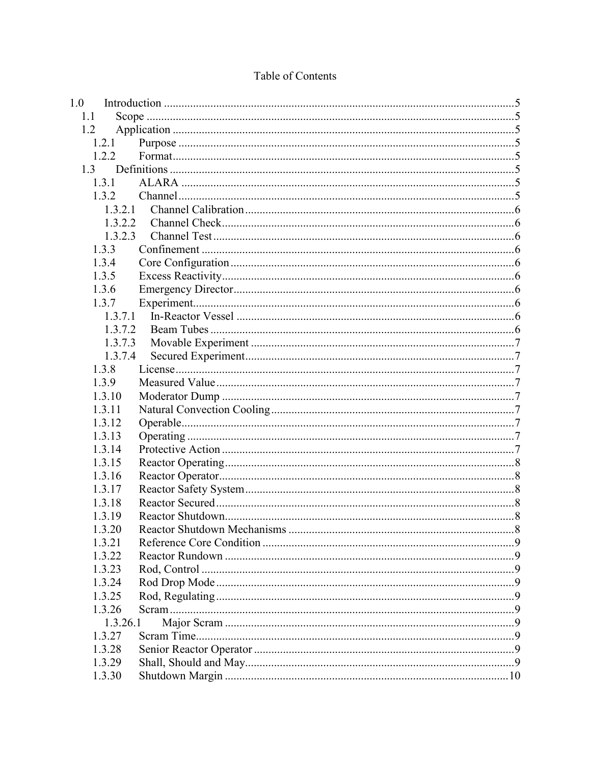| 1.0 |          |  |
|-----|----------|--|
| 1.1 |          |  |
| 1.2 |          |  |
|     | 1.2.1    |  |
|     | 1.2.2    |  |
|     |          |  |
|     | 1.3.1    |  |
|     | 1.3.2    |  |
|     | 1.3.2.1  |  |
|     | 1.3.2.2  |  |
|     | 1.3.2.3  |  |
|     | 1.3.3    |  |
|     | 1.3.4    |  |
|     | 1.3.5    |  |
|     | 1.3.6    |  |
|     | 1.3.7    |  |
|     | 1.3.7.1  |  |
|     | 1.3.7.2  |  |
|     | 1.3.7.3  |  |
|     | 1.3.7.4  |  |
|     | 1.3.8    |  |
|     | 1.3.9    |  |
|     | 1.3.10   |  |
|     | 1.3.11   |  |
|     | 1.3.12   |  |
|     | 1.3.13   |  |
|     | 1.3.14   |  |
|     | 1.3.15   |  |
|     | 1.3.16   |  |
|     | 1.3.17   |  |
|     | 1.3.18   |  |
|     | 1.3.19   |  |
|     | 1.3.20   |  |
|     | 1.3.21   |  |
|     | 1.3.22   |  |
|     | 1.3.23   |  |
|     | 1.3.24   |  |
|     | 1.3.25   |  |
|     | 1.3.26   |  |
|     | 1.3.26.1 |  |
|     | 1.3.27   |  |
|     | 1.3.28   |  |
|     | 1.3.29   |  |
|     | 1.3.30   |  |

# Table of Contents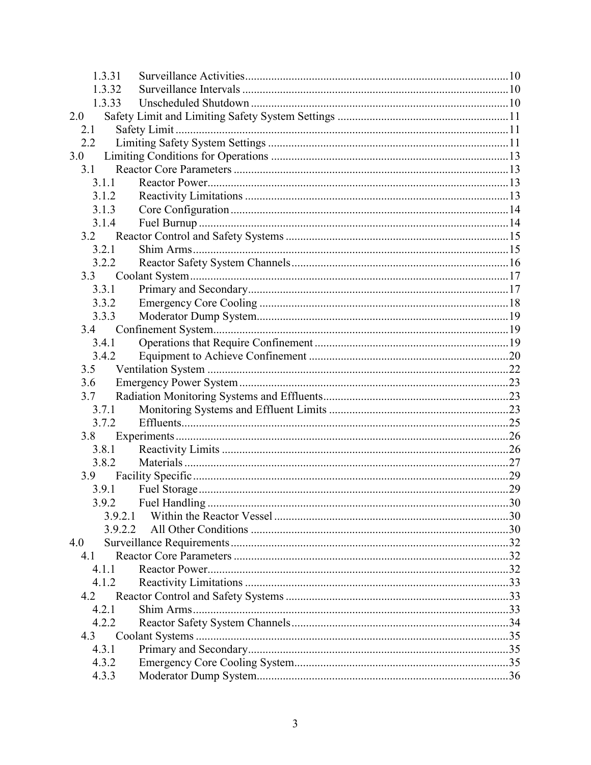| 1.3.32<br>1.3.33<br>2.0<br>2.1<br>2.2<br>3.0<br>3.1<br>3.1.1<br>3.1.2<br>3.1.3<br>3.1.4<br>3.2.1<br>3.2.2<br>3.3.1<br>3.3.2<br>3.3.3<br>3.4.1<br>3.4.2<br>3.5<br>3.6<br>3.7<br>3.7.1<br>3.7.2<br>3.8<br>3.8.1<br>3.8.2<br>3.9<br>3.9.1<br>3.9.2.1<br>3.9.2.2<br>4.0<br>41<br>4 1 1<br>4.1.2<br>4.2<br>4.2.1<br>4.2.2<br>4.3<br>4.3.1<br>4.3.2<br>4.3.3 | 1.3.31 |  |  |  |
|--------------------------------------------------------------------------------------------------------------------------------------------------------------------------------------------------------------------------------------------------------------------------------------------------------------------------------------------------------|--------|--|--|--|
|                                                                                                                                                                                                                                                                                                                                                        |        |  |  |  |
|                                                                                                                                                                                                                                                                                                                                                        |        |  |  |  |
|                                                                                                                                                                                                                                                                                                                                                        |        |  |  |  |
|                                                                                                                                                                                                                                                                                                                                                        |        |  |  |  |
|                                                                                                                                                                                                                                                                                                                                                        |        |  |  |  |
|                                                                                                                                                                                                                                                                                                                                                        |        |  |  |  |
|                                                                                                                                                                                                                                                                                                                                                        |        |  |  |  |
|                                                                                                                                                                                                                                                                                                                                                        |        |  |  |  |
|                                                                                                                                                                                                                                                                                                                                                        |        |  |  |  |
|                                                                                                                                                                                                                                                                                                                                                        |        |  |  |  |
|                                                                                                                                                                                                                                                                                                                                                        |        |  |  |  |
|                                                                                                                                                                                                                                                                                                                                                        |        |  |  |  |
|                                                                                                                                                                                                                                                                                                                                                        |        |  |  |  |
|                                                                                                                                                                                                                                                                                                                                                        |        |  |  |  |
|                                                                                                                                                                                                                                                                                                                                                        |        |  |  |  |
|                                                                                                                                                                                                                                                                                                                                                        |        |  |  |  |
|                                                                                                                                                                                                                                                                                                                                                        |        |  |  |  |
|                                                                                                                                                                                                                                                                                                                                                        |        |  |  |  |
|                                                                                                                                                                                                                                                                                                                                                        |        |  |  |  |
|                                                                                                                                                                                                                                                                                                                                                        |        |  |  |  |
|                                                                                                                                                                                                                                                                                                                                                        |        |  |  |  |
|                                                                                                                                                                                                                                                                                                                                                        |        |  |  |  |
|                                                                                                                                                                                                                                                                                                                                                        |        |  |  |  |
|                                                                                                                                                                                                                                                                                                                                                        |        |  |  |  |
|                                                                                                                                                                                                                                                                                                                                                        |        |  |  |  |
|                                                                                                                                                                                                                                                                                                                                                        |        |  |  |  |
|                                                                                                                                                                                                                                                                                                                                                        |        |  |  |  |
|                                                                                                                                                                                                                                                                                                                                                        |        |  |  |  |
|                                                                                                                                                                                                                                                                                                                                                        |        |  |  |  |
|                                                                                                                                                                                                                                                                                                                                                        |        |  |  |  |
|                                                                                                                                                                                                                                                                                                                                                        |        |  |  |  |
|                                                                                                                                                                                                                                                                                                                                                        |        |  |  |  |
|                                                                                                                                                                                                                                                                                                                                                        |        |  |  |  |
|                                                                                                                                                                                                                                                                                                                                                        |        |  |  |  |
|                                                                                                                                                                                                                                                                                                                                                        |        |  |  |  |
|                                                                                                                                                                                                                                                                                                                                                        |        |  |  |  |
|                                                                                                                                                                                                                                                                                                                                                        |        |  |  |  |
|                                                                                                                                                                                                                                                                                                                                                        |        |  |  |  |
|                                                                                                                                                                                                                                                                                                                                                        |        |  |  |  |
|                                                                                                                                                                                                                                                                                                                                                        |        |  |  |  |
|                                                                                                                                                                                                                                                                                                                                                        |        |  |  |  |
|                                                                                                                                                                                                                                                                                                                                                        |        |  |  |  |
|                                                                                                                                                                                                                                                                                                                                                        |        |  |  |  |
|                                                                                                                                                                                                                                                                                                                                                        |        |  |  |  |
|                                                                                                                                                                                                                                                                                                                                                        |        |  |  |  |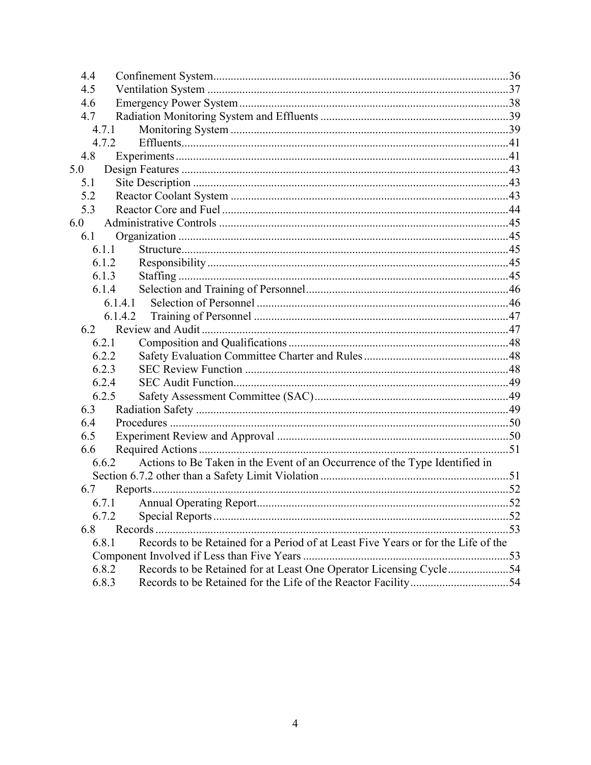| 4.4 |         |                                                                                   |     |
|-----|---------|-----------------------------------------------------------------------------------|-----|
| 4.5 |         |                                                                                   |     |
| 4.6 |         |                                                                                   |     |
| 4.7 |         |                                                                                   |     |
|     | 4.7.1   |                                                                                   |     |
|     | 4.7.2   |                                                                                   |     |
| 4.8 |         |                                                                                   |     |
| 5.0 |         |                                                                                   |     |
| 5.1 |         |                                                                                   |     |
| 5.2 |         |                                                                                   |     |
| 5.3 |         |                                                                                   |     |
| 6.0 |         |                                                                                   |     |
| 6.1 |         |                                                                                   |     |
|     | 6.1.1   |                                                                                   |     |
|     | 6.1.2   |                                                                                   |     |
|     | 6.1.3   |                                                                                   |     |
|     | 6.1.4   |                                                                                   |     |
|     | 6.1.4.1 |                                                                                   |     |
|     |         |                                                                                   |     |
| 6.2 |         |                                                                                   |     |
|     | 6.2.1   |                                                                                   |     |
|     | 6.2.2   |                                                                                   |     |
|     | 6.2.3   |                                                                                   |     |
|     | 6.2.4   |                                                                                   |     |
|     | 6.2.5   |                                                                                   |     |
| 6.3 |         |                                                                                   |     |
| 6.4 |         |                                                                                   |     |
| 6.5 |         |                                                                                   |     |
| 6.6 |         |                                                                                   |     |
|     | 6.6.2   | Actions to Be Taken in the Event of an Occurrence of the Type Identified in       |     |
|     |         |                                                                                   |     |
| 6.7 |         |                                                                                   |     |
|     |         |                                                                                   |     |
|     | 6.7.2   |                                                                                   |     |
| 6.8 |         |                                                                                   |     |
|     | 6.8.1   | Records to be Retained for a Period of at Least Five Years or for the Life of the |     |
|     |         |                                                                                   | .53 |
|     | 6.8.2   | Records to be Retained for at Least One Operator Licensing Cycle54                |     |
|     | 6.8.3   |                                                                                   |     |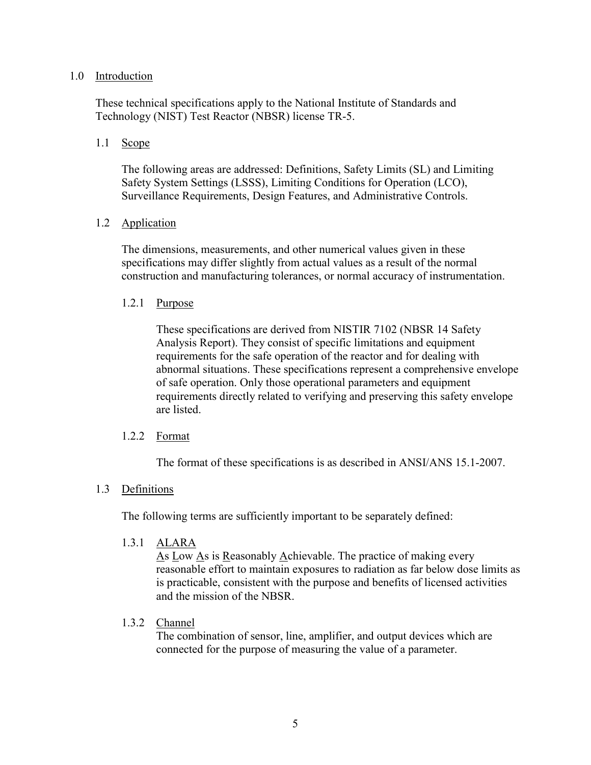### 1.0 Introduction

These technical specifications apply to the National Institute of Standards and Technology (NIST) Test Reactor (NBSR) license TR-5.

### 1.1 Scope

The following areas are addressed: Definitions, Safety Limits (SL) and Limiting Safety System Settings (LSSS), Limiting Conditions for Operation (LCO), Surveillance Requirements, Design Features, and Administrative Controls.

# 1.2 Application

The dimensions, measurements, and other numerical values given in these specifications may differ slightly from actual values as a result of the normal construction and manufacturing tolerances, or normal accuracy of instrumentation.

### 1.2.1 Purpose

These specifications are derived from NISTIR 7102 (NBSR 14 Safety Analysis Report). They consist of specific limitations and equipment requirements for the safe operation of the reactor and for dealing with abnormal situations. These specifications represent a comprehensive envelope of safe operation. Only those operational parameters and equipment requirements directly related to verifying and preserving this safety envelope are listed.

### 1.2.2 Format

The format of these specifications is as described in ANSI/ANS 15.1-2007.

### 1.3 Definitions

The following terms are sufficiently important to be separately defined:

1.3.1 ALARA

As Low As is Reasonably Achievable. The practice of making every reasonable effort to maintain exposures to radiation as far below dose limits as is practicable, consistent with the purpose and benefits of licensed activities and the mission of the NBSR.

### 1.3.2 Channel

The combination of sensor, line, amplifier, and output devices which are connected for the purpose of measuring the value of a parameter.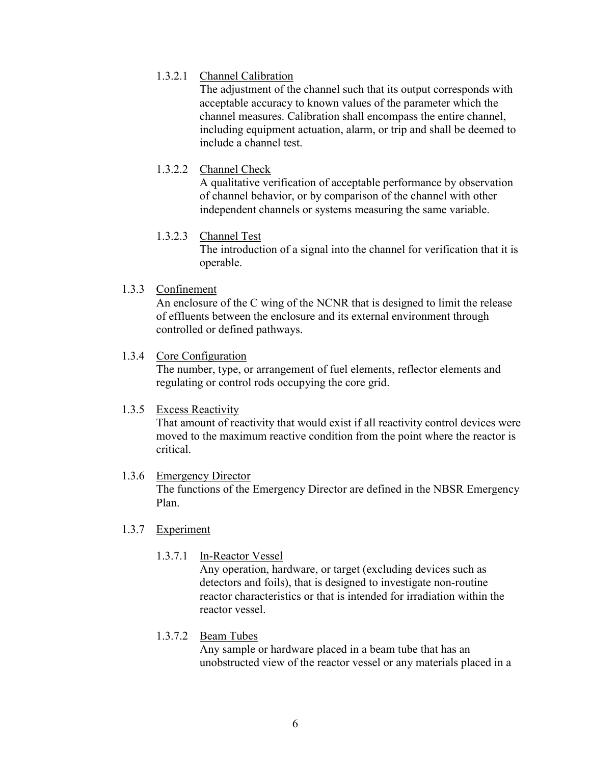# 1.3.2.1 Channel Calibration

 The adjustment of the channel such that its output corresponds with acceptable accuracy to known values of the parameter which the channel measures. Calibration shall encompass the entire channel, including equipment actuation, alarm, or trip and shall be deemed to include a channel test.

# 1.3.2.2 Channel Check

A qualitative verification of acceptable performance by observation of channel behavior, or by comparison of the channel with other independent channels or systems measuring the same variable.

# 1.3.2.3 Channel Test

The introduction of a signal into the channel for verification that it is operable.

# 1.3.3 Confinement

An enclosure of the C wing of the NCNR that is designed to limit the release of effluents between the enclosure and its external environment through controlled or defined pathways.

# 1.3.4 Core Configuration

The number, type, or arrangement of fuel elements, reflector elements and regulating or control rods occupying the core grid.

# 1.3.5 Excess Reactivity

 That amount of reactivity that would exist if all reactivity control devices were moved to the maximum reactive condition from the point where the reactor is critical.

# 1.3.6 Emergency Director

 The functions of the Emergency Director are defined in the NBSR Emergency Plan.

# 1.3.7 Experiment

# 1.3.7.1 In-Reactor Vessel

Any operation, hardware, or target (excluding devices such as detectors and foils), that is designed to investigate non-routine reactor characteristics or that is intended for irradiation within the reactor vessel.

# 1.3.7.2 Beam Tubes

 Any sample or hardware placed in a beam tube that has an unobstructed view of the reactor vessel or any materials placed in a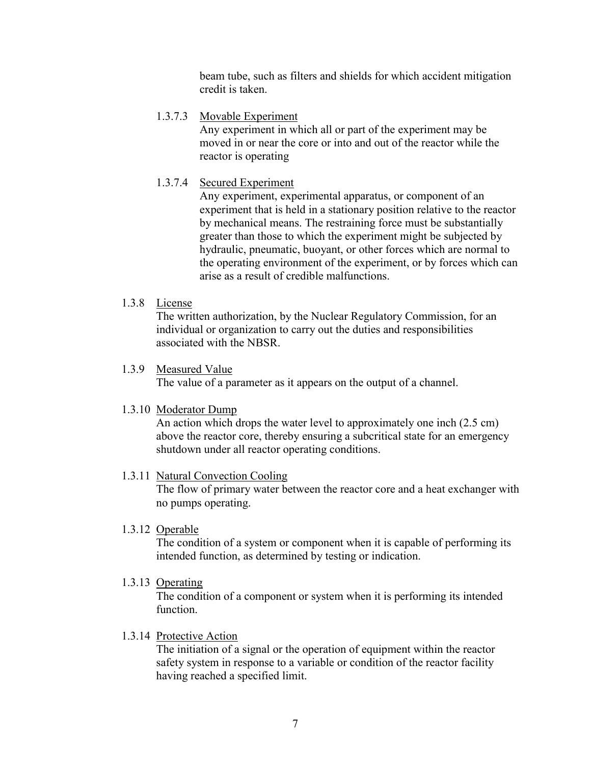beam tube, such as filters and shields for which accident mitigation credit is taken.

# 1.3.7.3 Movable Experiment

Any experiment in which all or part of the experiment may be moved in or near the core or into and out of the reactor while the reactor is operating

# 1.3.7.4 Secured Experiment

 Any experiment, experimental apparatus, or component of an experiment that is held in a stationary position relative to the reactor by mechanical means. The restraining force must be substantially greater than those to which the experiment might be subjected by hydraulic, pneumatic, buoyant, or other forces which are normal to the operating environment of the experiment, or by forces which can arise as a result of credible malfunctions.

# 1.3.8 License

 The written authorization, by the Nuclear Regulatory Commission, for an individual or organization to carry out the duties and responsibilities associated with the NBSR.

# 1.3.9 Measured Value

The value of a parameter as it appears on the output of a channel.

### 1.3.10 Moderator Dump

 An action which drops the water level to approximately one inch (2.5 cm) above the reactor core, thereby ensuring a subcritical state for an emergency shutdown under all reactor operating conditions.

# 1.3.11 Natural Convection Cooling

The flow of primary water between the reactor core and a heat exchanger with no pumps operating.

### 1.3.12 Operable

The condition of a system or component when it is capable of performing its intended function, as determined by testing or indication.

1.3.13 Operating

The condition of a component or system when it is performing its intended function.

# 1.3.14 Protective Action

The initiation of a signal or the operation of equipment within the reactor safety system in response to a variable or condition of the reactor facility having reached a specified limit.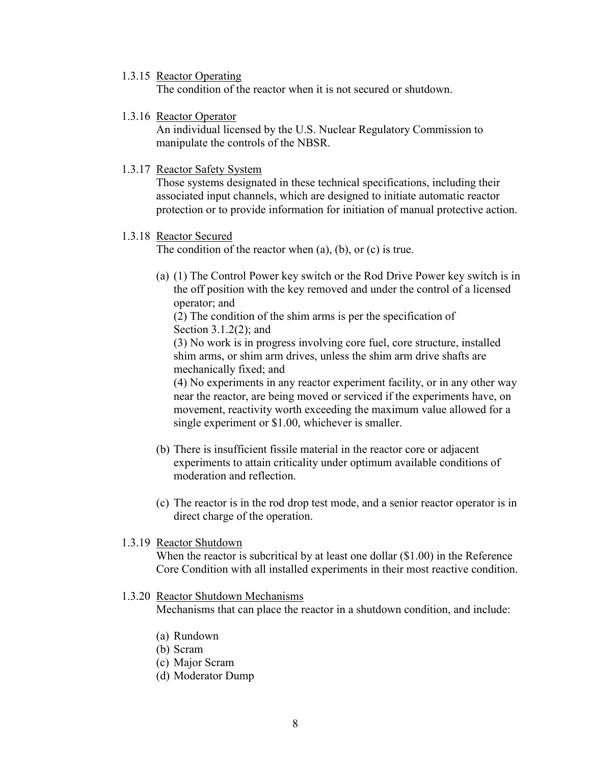1.3.15 Reactor Operating

The condition of the reactor when it is not secured or shutdown.

1.3.16 Reactor Operator

An individual licensed by the U.S. Nuclear Regulatory Commission to manipulate the controls of the NBSR.

1.3.17 Reactor Safety System

Those systems designated in these technical specifications, including their associated input channels, which are designed to initiate automatic reactor protection or to provide information for initiation of manual protective action.

### 1.3.18 Reactor Secured

The condition of the reactor when (a), (b), or (c) is true.

(a) (1) The Control Power key switch or the Rod Drive Power key switch is in the off position with the key removed and under the control of a licensed operator; and

(2) The condition of the shim arms is per the specification of Section 3.1.2(2); and

(3) No work is in progress involving core fuel, core structure, installed shim arms, or shim arm drives, unless the shim arm drive shafts are mechanically fixed; and

(4) No experiments in any reactor experiment facility, or in any other way near the reactor, are being moved or serviced if the experiments have, on movement, reactivity worth exceeding the maximum value allowed for a single experiment or \$1.00, whichever is smaller.

- (b) There is insufficient fissile material in the reactor core or adjacent experiments to attain criticality under optimum available conditions of moderation and reflection.
- (c) The reactor is in the rod drop test mode, and a senior reactor operator is in direct charge of the operation.
- 1.3.19 Reactor Shutdown

When the reactor is subcritical by at least one dollar  $(\$1.00)$  in the Reference Core Condition with all installed experiments in their most reactive condition.

# 1.3.20 Reactor Shutdown Mechanisms

Mechanisms that can place the reactor in a shutdown condition, and include:

- (a) Rundown
- (b) Scram
- (c) Major Scram
- (d) Moderator Dump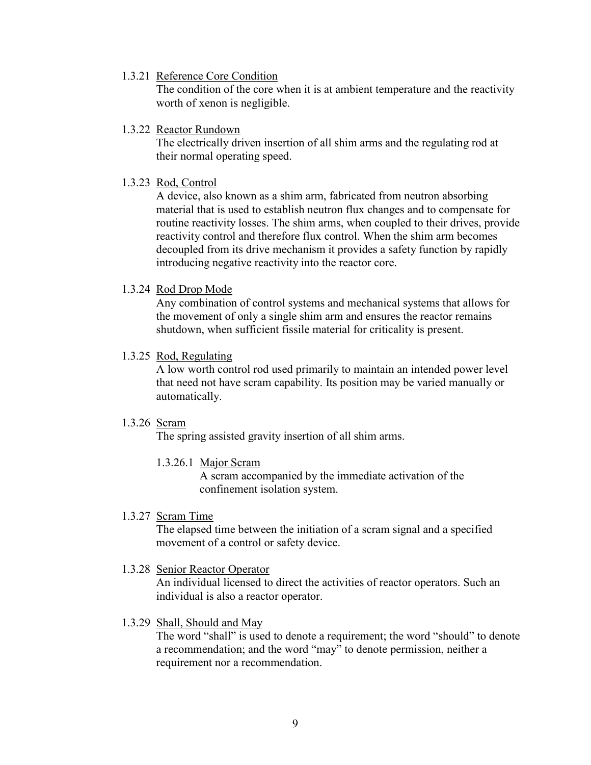1.3.21 Reference Core Condition

The condition of the core when it is at ambient temperature and the reactivity worth of xenon is negligible.

1.3.22 Reactor Rundown

The electrically driven insertion of all shim arms and the regulating rod at their normal operating speed.

1.3.23 Rod, Control

A device, also known as a shim arm, fabricated from neutron absorbing material that is used to establish neutron flux changes and to compensate for routine reactivity losses. The shim arms, when coupled to their drives, provide reactivity control and therefore flux control. When the shim arm becomes decoupled from its drive mechanism it provides a safety function by rapidly introducing negative reactivity into the reactor core.

1.3.24 Rod Drop Mode

Any combination of control systems and mechanical systems that allows for the movement of only a single shim arm and ensures the reactor remains shutdown, when sufficient fissile material for criticality is present.

1.3.25 Rod, Regulating

A low worth control rod used primarily to maintain an intended power level that need not have scram capability. Its position may be varied manually or automatically.

# 1.3.26 Scram

The spring assisted gravity insertion of all shim arms.

1.3.26.1 Major Scram

A scram accompanied by the immediate activation of the confinement isolation system.

1.3.27 Scram Time

The elapsed time between the initiation of a scram signal and a specified movement of a control or safety device.

1.3.28 Senior Reactor Operator

An individual licensed to direct the activities of reactor operators. Such an individual is also a reactor operator.

1.3.29 Shall, Should and May

The word "shall" is used to denote a requirement; the word "should" to denote a recommendation; and the word "may" to denote permission, neither a requirement nor a recommendation.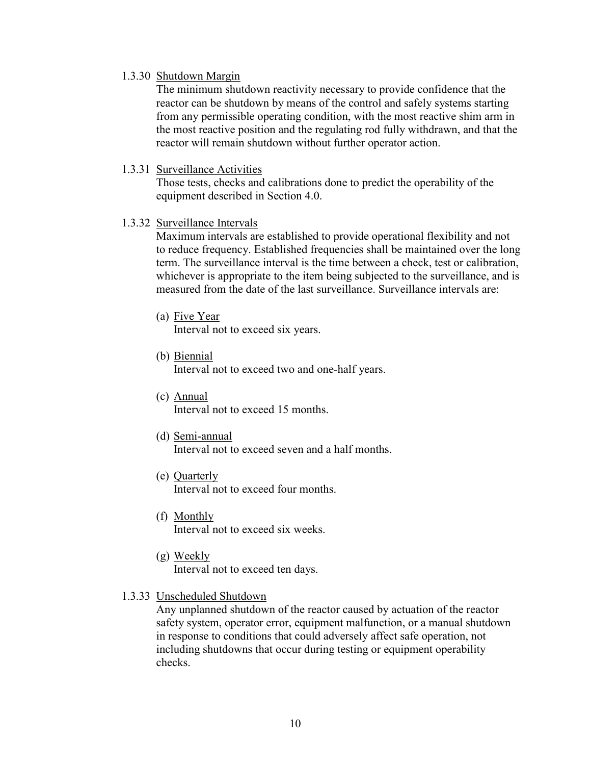### 1.3.30 Shutdown Margin

 The minimum shutdown reactivity necessary to provide confidence that the reactor can be shutdown by means of the control and safely systems starting from any permissible operating condition, with the most reactive shim arm in the most reactive position and the regulating rod fully withdrawn, and that the reactor will remain shutdown without further operator action.

### 1.3.31 Surveillance Activities

 Those tests, checks and calibrations done to predict the operability of the equipment described in Section 4.0.

### 1.3.32 Surveillance Intervals

 Maximum intervals are established to provide operational flexibility and not to reduce frequency. Established frequencies shall be maintained over the long term. The surveillance interval is the time between a check, test or calibration, whichever is appropriate to the item being subjected to the surveillance, and is measured from the date of the last surveillance. Surveillance intervals are:

(a) Five Year

Interval not to exceed six years.

(b) Biennial

Interval not to exceed two and one-half years.

- (c) Annual Interval not to exceed 15 months.
- (d) Semi-annual

Interval not to exceed seven and a half months.

- (e) Quarterly Interval not to exceed four months.
- (f) Monthly Interval not to exceed six weeks.
- (g) Weekly Interval not to exceed ten days.

#### 1.3.33 Unscheduled Shutdown

Any unplanned shutdown of the reactor caused by actuation of the reactor safety system, operator error, equipment malfunction, or a manual shutdown in response to conditions that could adversely affect safe operation, not including shutdowns that occur during testing or equipment operability checks.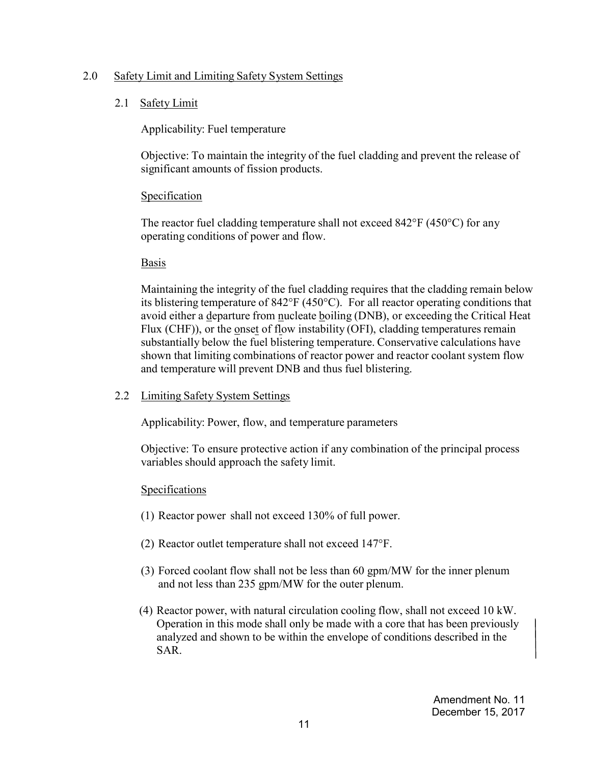# 2.0 Safety Limit and Limiting Safety System Settings

# 2.1 Safety Limit

Applicability: Fuel temperature

Objective: To maintain the integrity of the fuel cladding and prevent the release of significant amounts of fission products.

# Specification

The reactor fuel cladding temperature shall not exceed 842°F (450°C) for any operating conditions of power and flow.

# Basis

Maintaining the integrity of the fuel cladding requires that the cladding remain below its blistering temperature of 842°F (450°C). For all reactor operating conditions that avoid either a departure from nucleate boiling (DNB), or exceeding the Critical Heat Flux (CHF)), or the onset of flow instability (OFI), cladding temperatures remain substantially below the fuel blistering temperature. Conservative calculations have shown that limiting combinations of reactor power and reactor coolant system flow and temperature will prevent DNB and thus fuel blistering.

# 2.2 Limiting Safety System Settings

Applicability: Power, flow, and temperature parameters

Objective: To ensure protective action if any combination of the principal process variables should approach the safety limit.

- (1) Reactor power shall not exceed 130% of full power.
- (2) Reactor outlet temperature shall not exceed 147°F.
- (3) Forced coolant flow shall not be less than 60 gpm/MW for the inner plenum and not less than 235 gpm/MW for the outer plenum.
- (4) Reactor power, with natural circulation cooling flow, shall not exceed 10 kW. Operation in this mode shall only be made with a core that has been previously analyzed and shown to be within the envelope of conditions described in the SAR.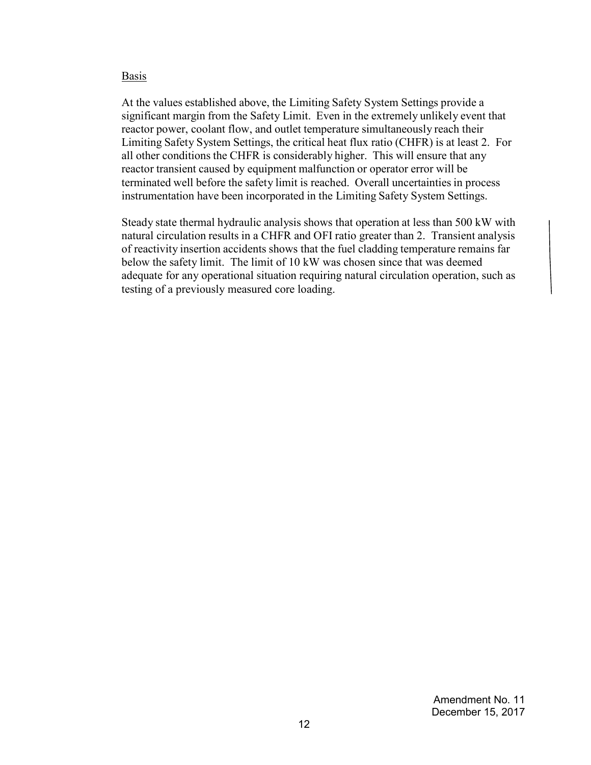At the values established above, the Limiting Safety System Settings provide a significant margin from the Safety Limit. Even in the extremely unlikely event that reactor power, coolant flow, and outlet temperature simultaneously reach their Limiting Safety System Settings, the critical heat flux ratio (CHFR) is at least 2. For all other conditions the CHFR is considerably higher. This will ensure that any reactor transient caused by equipment malfunction or operator error will be terminated well before the safety limit is reached. Overall uncertainties in process instrumentation have been incorporated in the Limiting Safety System Settings.

Steady state thermal hydraulic analysis shows that operation at less than 500 kW with natural circulation results in a CHFR and OFI ratio greater than 2. Transient analysis of reactivity insertion accidents shows that the fuel cladding temperature remains far below the safety limit. The limit of 10 kW was chosen since that was deemed adequate for any operational situation requiring natural circulation operation, such as testing of a previously measured core loading.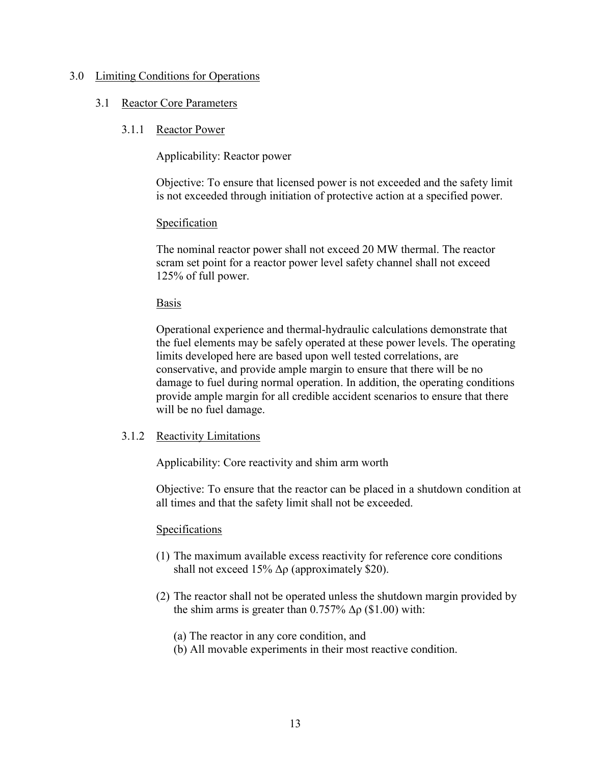#### 3.0 Limiting Conditions for Operations

#### 3.1 Reactor Core Parameters

#### 3.1.1 Reactor Power

Applicability: Reactor power

 Objective: To ensure that licensed power is not exceeded and the safety limit is not exceeded through initiation of protective action at a specified power.

### **Specification**

The nominal reactor power shall not exceed 20 MW thermal. The reactor scram set point for a reactor power level safety channel shall not exceed 125% of full power.

#### Basis

Operational experience and thermal-hydraulic calculations demonstrate that the fuel elements may be safely operated at these power levels. The operating limits developed here are based upon well tested correlations, are conservative, and provide ample margin to ensure that there will be no damage to fuel during normal operation. In addition, the operating conditions provide ample margin for all credible accident scenarios to ensure that there will be no fuel damage.

### 3.1.2 Reactivity Limitations

Applicability: Core reactivity and shim arm worth

Objective: To ensure that the reactor can be placed in a shutdown condition at all times and that the safety limit shall not be exceeded.

- (1) The maximum available excess reactivity for reference core conditions shall not exceed 15%  $\Delta \rho$  (approximately \$20).
- (2) The reactor shall not be operated unless the shutdown margin provided by the shim arms is greater than  $0.757\%$   $\Delta \rho$  (\$1.00) with:
	- (a) The reactor in any core condition, and
	- (b) All movable experiments in their most reactive condition.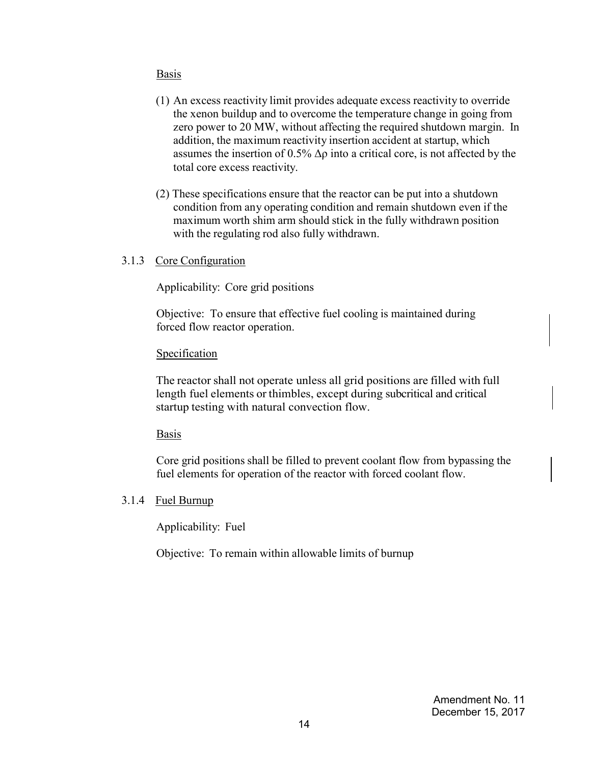- (1) An excess reactivity limit provides adequate excess reactivity to override the xenon buildup and to overcome the temperature change in going from zero power to 20 MW, without affecting the required shutdown margin. In addition, the maximum reactivity insertion accident at startup, which assumes the insertion of 0.5%  $\Delta \rho$  into a critical core, is not affected by the total core excess reactivity.
- (2) These specifications ensure that the reactor can be put into a shutdown condition from any operating condition and remain shutdown even if the maximum worth shim arm should stick in the fully withdrawn position with the regulating rod also fully withdrawn.
- 3.1.3 Core Configuration

Applicability: Core grid positions

Objective: To ensure that effective fuel cooling is maintained during forced flow reactor operation.

#### Specification

The reactor shall not operate unless all grid positions are filled with full length fuel elements or thimbles, except during subcritical and critical startup testing with natural convection flow.

#### Basis

Core grid positions shall be filled to prevent coolant flow from bypassing the fuel elements for operation of the reactor with forced coolant flow.

### 3.1.4 Fuel Burnup

Applicability: Fuel

Objective: To remain within allowable limits of burnup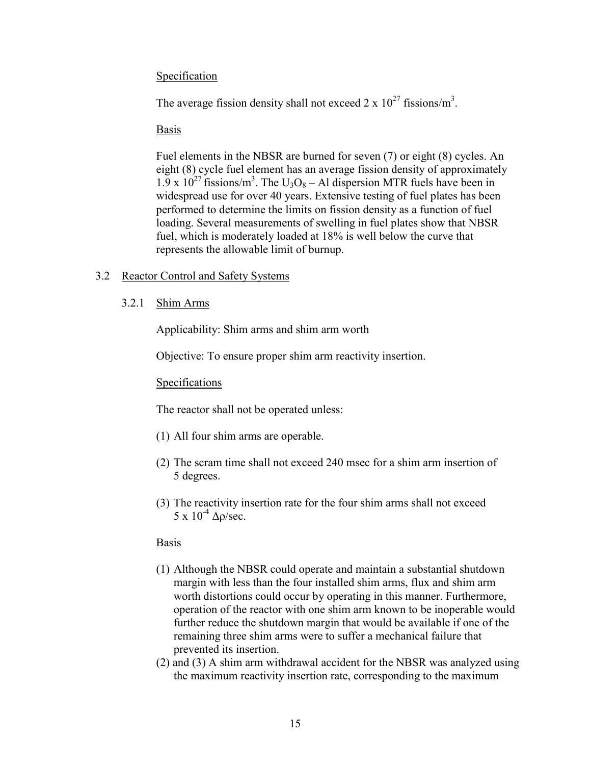# Specification

The average fission density shall not exceed  $2 \times 10^{27}$  fissions/m<sup>3</sup>.

### Basis

Fuel elements in the NBSR are burned for seven (7) or eight (8) cycles. An eight (8) cycle fuel element has an average fission density of approximately  $1.9 \times 10^{27}$  fissions/m<sup>3</sup>. The U<sub>3</sub>O<sub>8</sub> – Al dispersion MTR fuels have been in widespread use for over 40 years. Extensive testing of fuel plates has been performed to determine the limits on fission density as a function of fuel loading. Several measurements of swelling in fuel plates show that NBSR fuel, which is moderately loaded at 18% is well below the curve that represents the allowable limit of burnup.

# 3.2 Reactor Control and Safety Systems

3.2.1 Shim Arms

Applicability: Shim arms and shim arm worth

Objective: To ensure proper shim arm reactivity insertion.

### **Specifications**

The reactor shall not be operated unless:

- (1) All four shim arms are operable.
- (2) The scram time shall not exceed 240 msec for a shim arm insertion of 5 degrees.
- (3) The reactivity insertion rate for the four shim arms shall not exceed 5 x  $10^{-4}$  Δρ/sec.

### Basis

- (1) Although the NBSR could operate and maintain a substantial shutdown margin with less than the four installed shim arms, flux and shim arm worth distortions could occur by operating in this manner. Furthermore, operation of the reactor with one shim arm known to be inoperable would further reduce the shutdown margin that would be available if one of the remaining three shim arms were to suffer a mechanical failure that prevented its insertion.
- (2) and (3) A shim arm withdrawal accident for the NBSR was analyzed using the maximum reactivity insertion rate, corresponding to the maximum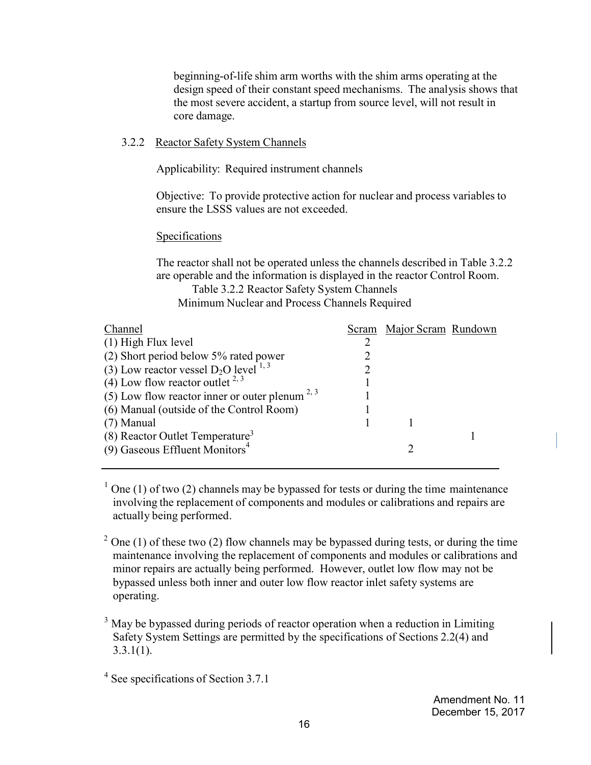beginning-of-life shim arm worths with the shim arms operating at the design speed of their constant speed mechanisms. The analysis shows that the most severe accident, a startup from source level, will not result in core damage.

### 3.2.2 Reactor Safety System Channels

Applicability: Required instrument channels

Objective: To provide protective action for nuclear and process variables to ensure the LSSS values are not exceeded.

# Specifications

The reactor shall not be operated unless the channels described in Table 3.2.2 are operable and the information is displayed in the reactor Control Room. Table 3.2.2 Reactor Safety System Channels

Minimum Nuclear and Process Channels Required

| Channel                                             | Scram Major Scram Rundown |  |
|-----------------------------------------------------|---------------------------|--|
| $(1)$ High Flux level                               |                           |  |
| (2) Short period below 5% rated power               |                           |  |
| (3) Low reactor vessel $D_2O$ level $^{1,3}$        |                           |  |
| (4) Low flow reactor outlet $2,3$                   |                           |  |
| (5) Low flow reactor inner or outer plenum $^{2,3}$ |                           |  |
| (6) Manual (outside of the Control Room)            |                           |  |
| $(7)$ Manual                                        |                           |  |
| $(8)$ Reactor Outlet Temperature <sup>3</sup>       |                           |  |
| $(9)$ Gaseous Effluent Monitors <sup>4</sup>        |                           |  |
|                                                     |                           |  |

 $1$  One (1) of two (2) channels may be bypassed for tests or during the time maintenance involving the replacement of components and modules or calibrations and repairs are actually being performed.

 $2$  One (1) of these two (2) flow channels may be bypassed during tests, or during the time maintenance involving the replacement of components and modules or calibrations and minor repairs are actually being performed. However, outlet low flow may not be bypassed unless both inner and outer low flow reactor inlet safety systems are operating.

 $3$  May be bypassed during periods of reactor operation when a reduction in Limiting Safety System Settings are permitted by the specifications of Sections 2.2(4) and  $3.3.1(1)$ .

Amendment No. 11 December 15, 2017

<sup>4</sup> See specifications of Section 3.7.1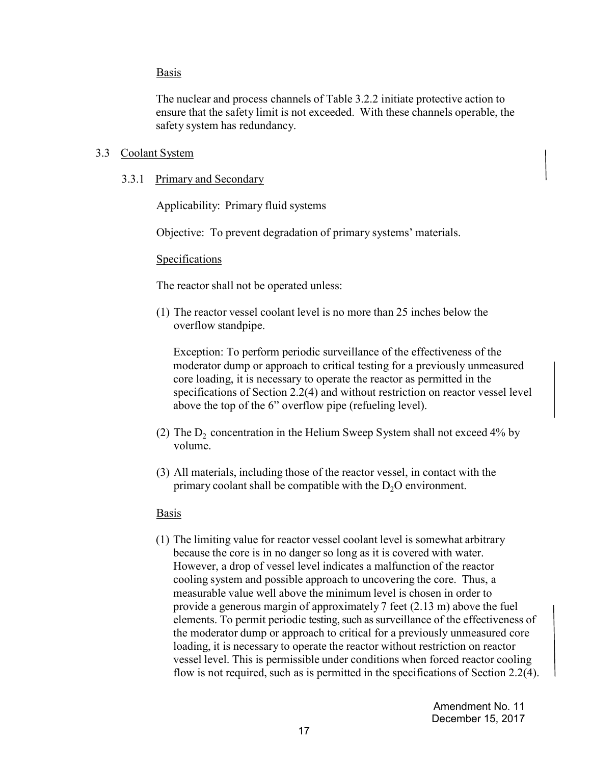The nuclear and process channels of Table 3.2.2 initiate protective action to ensure that the safety limit is not exceeded. With these channels operable, the safety system has redundancy.

#### 3.3 Coolant System

3.3.1 Primary and Secondary

Applicability: Primary fluid systems

Objective: To prevent degradation of primary systems' materials.

#### **Specifications**

The reactor shall not be operated unless:

(1) The reactor vessel coolant level is no more than 25 inches below the overflow standpipe.

Exception: To perform periodic surveillance of the effectiveness of the moderator dump or approach to critical testing for a previously unmeasured core loading, it is necessary to operate the reactor as permitted in the specifications of Section 2.2(4) and without restriction on reactor vessel level above the top of the 6" overflow pipe (refueling level).

- (2) The  $D_2$  concentration in the Helium Sweep System shall not exceed 4% by volume.
- (3) All materials, including those of the reactor vessel, in contact with the primary coolant shall be compatible with the  $D_2O$  environment.

#### Basis

(1) The limiting value for reactor vessel coolant level is somewhat arbitrary because the core is in no danger so long as it is covered with water. However, a drop of vessel level indicates a malfunction of the reactor cooling system and possible approach to uncovering the core. Thus, a measurable value well above the minimum level is chosen in order to provide a generous margin of approximately 7 feet (2.13 m) above the fuel elements. To permit periodic testing, such as surveillance of the effectiveness of the moderator dump or approach to critical for a previously unmeasured core loading, it is necessary to operate the reactor without restriction on reactor vessel level. This is permissible under conditions when forced reactor cooling flow is not required, such as is permitted in the specifications of Section 2.2(4).

> Amendment No. 11 December 15, 2017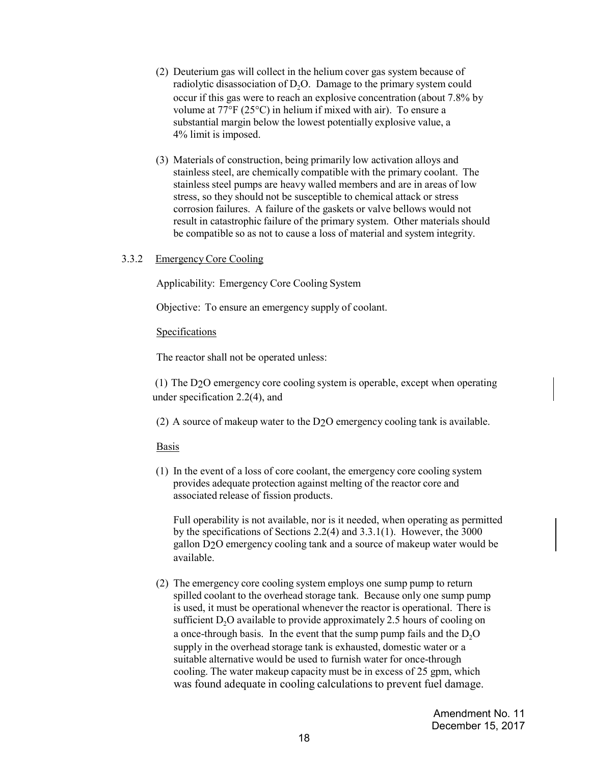- (2) Deuterium gas will collect in the helium cover gas system because of radiolytic disassociation of  $D_2O$ . Damage to the primary system could occur if this gas were to reach an explosive concentration (about 7.8% by volume at 77°F (25°C) in helium if mixed with air). To ensure a substantial margin below the lowest potentially explosive value, a 4% limit is imposed.
- (3) Materials of construction, being primarily low activation alloys and stainless steel, are chemically compatible with the primary coolant. The stainless steel pumps are heavy walled members and are in areas of low stress, so they should not be susceptible to chemical attack or stress corrosion failures. A failure of the gaskets or valve bellows would not result in catastrophic failure of the primary system. Other materials should be compatible so as not to cause a loss of material and system integrity.

#### 3.3.2 Emergency Core Cooling

Applicability: Emergency Core Cooling System

Objective: To ensure an emergency supply of coolant.

#### Specifications

The reactor shall not be operated unless:

 (1) The D2O emergency core cooling system is operable, except when operating under specification 2.2(4), and

(2) A source of makeup water to the D2O emergency cooling tank is available.

#### **Basis**

(1) In the event of a loss of core coolant, the emergency core cooling system provides adequate protection against melting of the reactor core and associated release of fission products.

Full operability is not available, nor is it needed, when operating as permitted by the specifications of Sections 2.2(4) and 3.3.1(1). However, the 3000 gallon D2O emergency cooling tank and a source of makeup water would be available.

(2) The emergency core cooling system employs one sump pump to return spilled coolant to the overhead storage tank. Because only one sump pump is used, it must be operational whenever the reactor is operational. There is sufficient  $D_2O$  available to provide approximately 2.5 hours of cooling on a once-through basis. In the event that the sump pump fails and the  $D<sub>2</sub>O$ supply in the overhead storage tank is exhausted, domestic water or a suitable alternative would be used to furnish water for once-through cooling. The water makeup capacity must be in excess of 25 gpm, which was found adequate in cooling calculations to prevent fuel damage.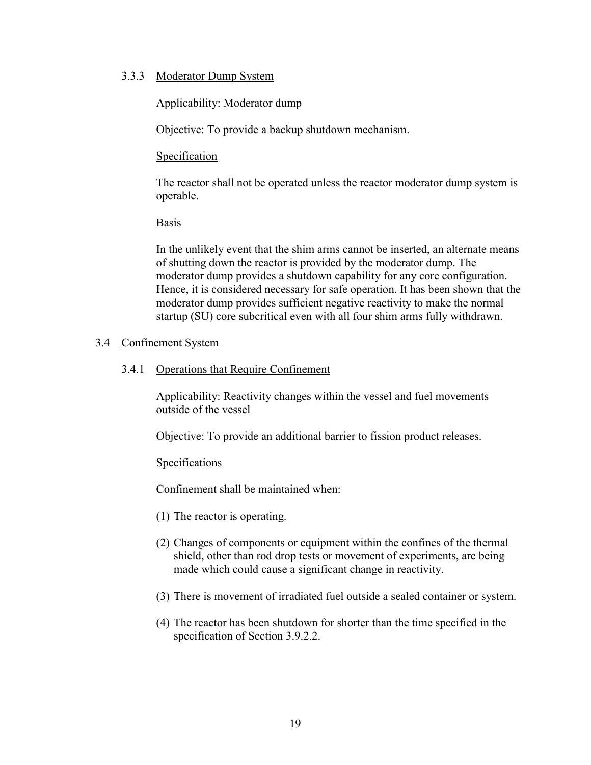### 3.3.3 Moderator Dump System

Applicability: Moderator dump

Objective: To provide a backup shutdown mechanism.

# **Specification**

The reactor shall not be operated unless the reactor moderator dump system is operable.

# Basis

In the unlikely event that the shim arms cannot be inserted, an alternate means of shutting down the reactor is provided by the moderator dump. The moderator dump provides a shutdown capability for any core configuration. Hence, it is considered necessary for safe operation. It has been shown that the moderator dump provides sufficient negative reactivity to make the normal startup (SU) core subcritical even with all four shim arms fully withdrawn.

# 3.4 Confinement System

# 3.4.1 Operations that Require Confinement

Applicability: Reactivity changes within the vessel and fuel movements outside of the vessel

Objective: To provide an additional barrier to fission product releases.

### Specifications

Confinement shall be maintained when:

- (1) The reactor is operating.
- (2) Changes of components or equipment within the confines of the thermal shield, other than rod drop tests or movement of experiments, are being made which could cause a significant change in reactivity.
- (3) There is movement of irradiated fuel outside a sealed container or system.
- (4) The reactor has been shutdown for shorter than the time specified in the specification of Section 3.9.2.2.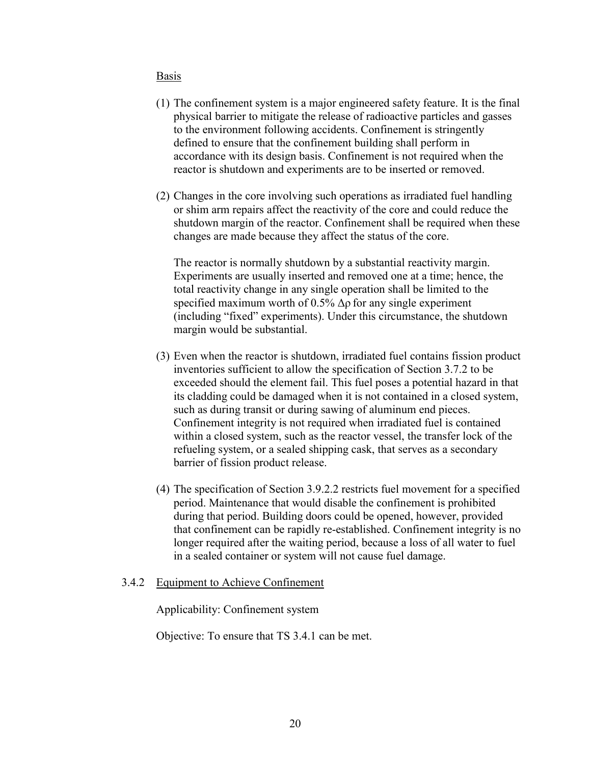- (1) The confinement system is a major engineered safety feature. It is the final physical barrier to mitigate the release of radioactive particles and gasses to the environment following accidents. Confinement is stringently defined to ensure that the confinement building shall perform in accordance with its design basis. Confinement is not required when the reactor is shutdown and experiments are to be inserted or removed.
- (2) Changes in the core involving such operations as irradiated fuel handling or shim arm repairs affect the reactivity of the core and could reduce the shutdown margin of the reactor. Confinement shall be required when these changes are made because they affect the status of the core.

The reactor is normally shutdown by a substantial reactivity margin. Experiments are usually inserted and removed one at a time; hence, the total reactivity change in any single operation shall be limited to the specified maximum worth of 0.5%  $\Delta \rho$  for any single experiment (including "fixed" experiments). Under this circumstance, the shutdown margin would be substantial.

- (3) Even when the reactor is shutdown, irradiated fuel contains fission product inventories sufficient to allow the specification of Section 3.7.2 to be exceeded should the element fail. This fuel poses a potential hazard in that its cladding could be damaged when it is not contained in a closed system, such as during transit or during sawing of aluminum end pieces. Confinement integrity is not required when irradiated fuel is contained within a closed system, such as the reactor vessel, the transfer lock of the refueling system, or a sealed shipping cask, that serves as a secondary barrier of fission product release.
- (4) The specification of Section 3.9.2.2 restricts fuel movement for a specified period. Maintenance that would disable the confinement is prohibited during that period. Building doors could be opened, however, provided that confinement can be rapidly re-established. Confinement integrity is no longer required after the waiting period, because a loss of all water to fuel in a sealed container or system will not cause fuel damage.

### 3.4.2 Equipment to Achieve Confinement

Applicability: Confinement system

Objective: To ensure that TS 3.4.1 can be met.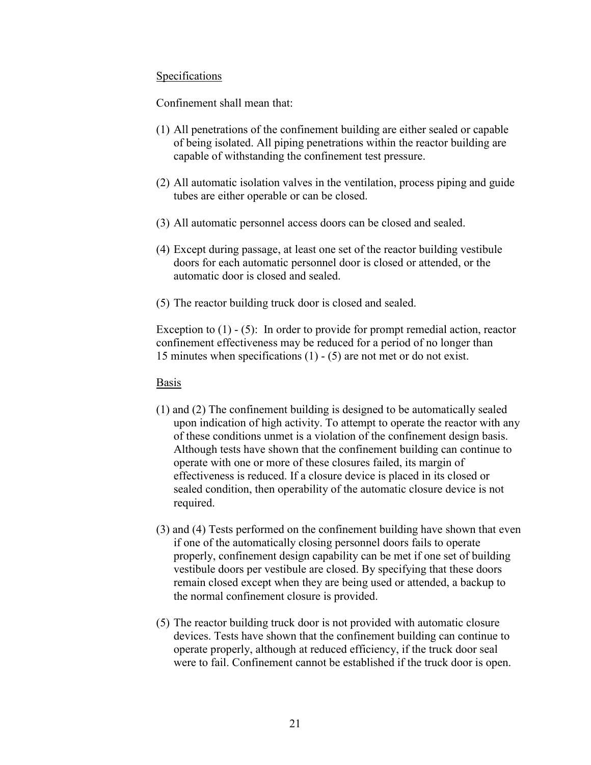### Specifications

Confinement shall mean that:

- (1) All penetrations of the confinement building are either sealed or capable of being isolated. All piping penetrations within the reactor building are capable of withstanding the confinement test pressure.
- (2) All automatic isolation valves in the ventilation, process piping and guide tubes are either operable or can be closed.
- (3) All automatic personnel access doors can be closed and sealed.
- (4) Except during passage, at least one set of the reactor building vestibule doors for each automatic personnel door is closed or attended, or the automatic door is closed and sealed.
- (5) The reactor building truck door is closed and sealed.

Exception to  $(1)$  -  $(5)$ : In order to provide for prompt remedial action, reactor confinement effectiveness may be reduced for a period of no longer than 15 minutes when specifications (1) - (5) are not met or do not exist.

### Basis

- (1) and (2) The confinement building is designed to be automatically sealed upon indication of high activity. To attempt to operate the reactor with any of these conditions unmet is a violation of the confinement design basis. Although tests have shown that the confinement building can continue to operate with one or more of these closures failed, its margin of effectiveness is reduced. If a closure device is placed in its closed or sealed condition, then operability of the automatic closure device is not required.
- (3) and (4) Tests performed on the confinement building have shown that even if one of the automatically closing personnel doors fails to operate properly, confinement design capability can be met if one set of building vestibule doors per vestibule are closed. By specifying that these doors remain closed except when they are being used or attended, a backup to the normal confinement closure is provided.
- (5) The reactor building truck door is not provided with automatic closure devices. Tests have shown that the confinement building can continue to operate properly, although at reduced efficiency, if the truck door seal were to fail. Confinement cannot be established if the truck door is open.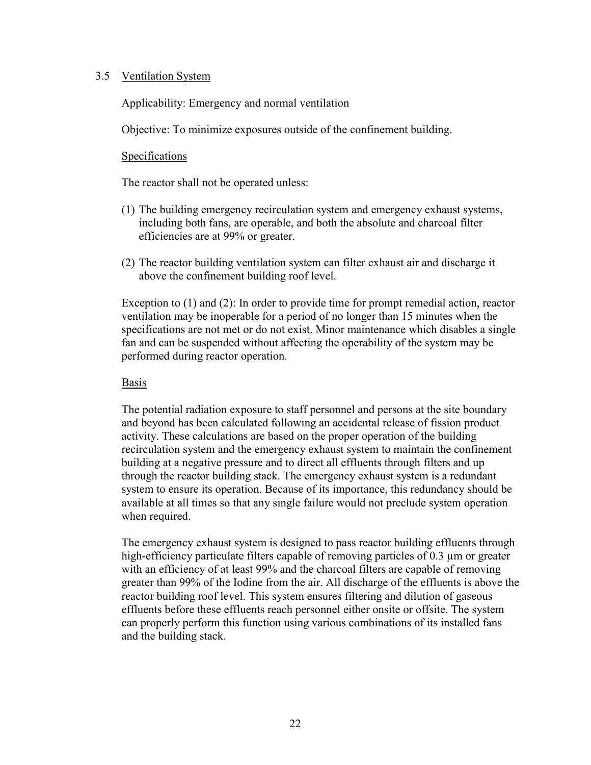### 3.5 Ventilation System

Applicability: Emergency and normal ventilation

Objective: To minimize exposures outside of the confinement building.

# **Specifications**

The reactor shall not be operated unless:

- (1) The building emergency recirculation system and emergency exhaust systems, including both fans, are operable, and both the absolute and charcoal filter efficiencies are at 99% or greater.
- (2) The reactor building ventilation system can filter exhaust air and discharge it above the confinement building roof level.

 Exception to (1) and (2): In order to provide time for prompt remedial action, reactor ventilation may be inoperable for a period of no longer than 15 minutes when the specifications are not met or do not exist. Minor maintenance which disables a single fan and can be suspended without affecting the operability of the system may be performed during reactor operation.

### Basis

The potential radiation exposure to staff personnel and persons at the site boundary and beyond has been calculated following an accidental release of fission product activity. These calculations are based on the proper operation of the building recirculation system and the emergency exhaust system to maintain the confinement building at a negative pressure and to direct all effluents through filters and up through the reactor building stack. The emergency exhaust system is a redundant system to ensure its operation. Because of its importance, this redundancy should be available at all times so that any single failure would not preclude system operation when required.

The emergency exhaust system is designed to pass reactor building effluents through high-efficiency particulate filters capable of removing particles of 0.3 µm or greater with an efficiency of at least 99% and the charcoal filters are capable of removing greater than 99% of the Iodine from the air. All discharge of the effluents is above the reactor building roof level. This system ensures filtering and dilution of gaseous effluents before these effluents reach personnel either onsite or offsite. The system can properly perform this function using various combinations of its installed fans and the building stack.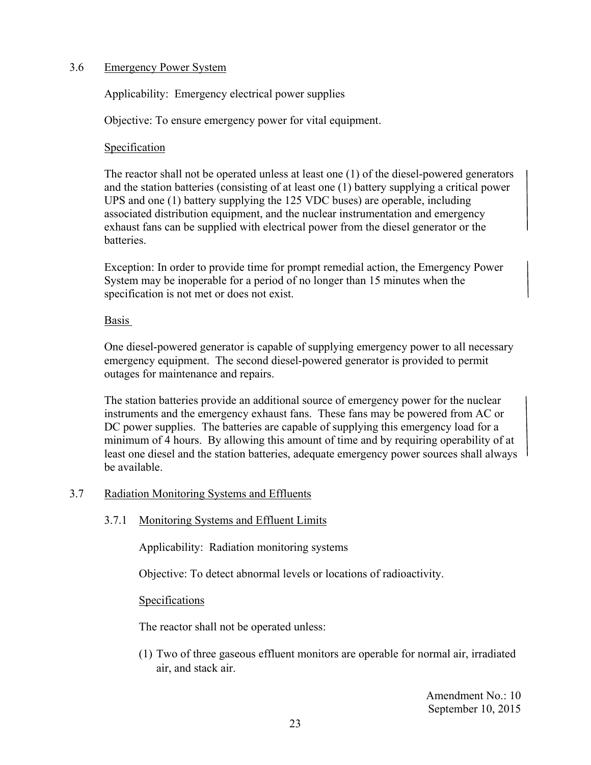# 3.6 Emergency Power System

Applicability: Emergency electrical power supplies

Objective: To ensure emergency power for vital equipment.

### Specification

The reactor shall not be operated unless at least one (1) of the diesel-powered generators and the station batteries (consisting of at least one (1) battery supplying a critical power UPS and one (1) battery supplying the 125 VDC buses) are operable, including associated distribution equipment, and the nuclear instrumentation and emergency exhaust fans can be supplied with electrical power from the diesel generator or the batteries.

Exception: In order to provide time for prompt remedial action, the Emergency Power System may be inoperable for a period of no longer than 15 minutes when the specification is not met or does not exist.

# Basis

One diesel-powered generator is capable of supplying emergency power to all necessary emergency equipment. The second diesel-powered generator is provided to permit outages for maintenance and repairs.

The station batteries provide an additional source of emergency power for the nuclear instruments and the emergency exhaust fans. These fans may be powered from AC or DC power supplies. The batteries are capable of supplying this emergency load for a minimum of 4 hours. By allowing this amount of time and by requiring operability of at least one diesel and the station batteries, adequate emergency power sources shall always be available.

# 3.7 Radiation Monitoring Systems and Effluents

# 3.7.1 Monitoring Systems and Effluent Limits

Applicability: Radiation monitoring systems

Objective: To detect abnormal levels or locations of radioactivity.

### **Specifications**

The reactor shall not be operated unless:

(1) Two of three gaseous effluent monitors are operable for normal air, irradiated air, and stack air.

> Amendment No.: 10 September 10, 2015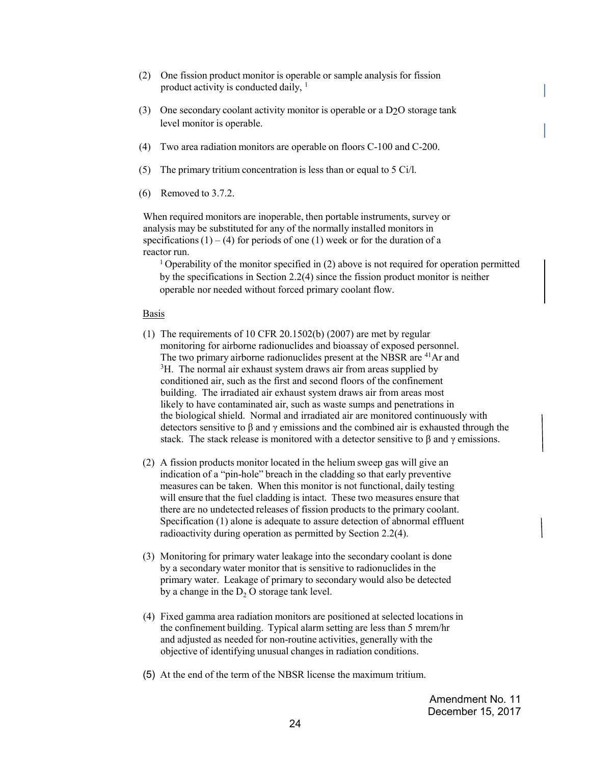- (2) One fission product monitor is operable or sample analysis for fission product activity is conducted daily,  $<sup>1</sup>$ </sup>
- (3) One secondary coolant activity monitor is operable or a D2O storage tank level monitor is operable.
- (4) Two area radiation monitors are operable on floors C-100 and C-200.
- (5) The primary tritium concentration is less than or equal to 5 Ci/l.
- (6) Removed to 3.7.2.

When required monitors are inoperable, then portable instruments, survey or analysis may be substituted for any of the normally installed monitors in specifications  $(1) - (4)$  for periods of one  $(1)$  week or for the duration of a reactor run.

1 Operability of the monitor specified in (2) above is not required for operation permitted by the specifications in Section 2.2(4) since the fission product monitor is neither operable nor needed without forced primary coolant flow.

#### Basis

- (1) The requirements of 10 CFR 20.1502(b) (2007) are met by regular monitoring for airborne radionuclides and bioassay of exposed personnel. The two primary airborne radionuclides present at the NBSR are <sup>41</sup>Ar and <sup>3</sup>H. The normal air exhaust system draws air from areas supplied by conditioned air, such as the first and second floors of the confinement building. The irradiated air exhaust system draws air from areas most likely to have contaminated air, such as waste sumps and penetrations in the biological shield. Normal and irradiated air are monitored continuously with detectors sensitive to  $\beta$  and  $\gamma$  emissions and the combined air is exhausted through the stack. The stack release is monitored with a detector sensitive to  $\beta$  and  $\gamma$  emissions.
- (2) A fission products monitor located in the helium sweep gas will give an indication of a "pin-hole" breach in the cladding so that early preventive measures can be taken. When this monitor is not functional, daily testing will ensure that the fuel cladding is intact. These two measures ensure that there are no undetected releases of fission products to the primary coolant. Specification (1) alone is adequate to assure detection of abnormal effluent radioactivity during operation as permitted by Section 2.2(4).
- (3) Monitoring for primary water leakage into the secondary coolant is done by a secondary water monitor that is sensitive to radionuclides in the primary water. Leakage of primary to secondary would also be detected by a change in the  $D_2$  O storage tank level.
- (4) Fixed gamma area radiation monitors are positioned at selected locations in the confinement building. Typical alarm setting are less than 5 mrem/hr and adjusted as needed for non-routine activities, generally with the objective of identifying unusual changes in radiation conditions.
- (5) At the end of the term of the NBSR license the maximum tritium.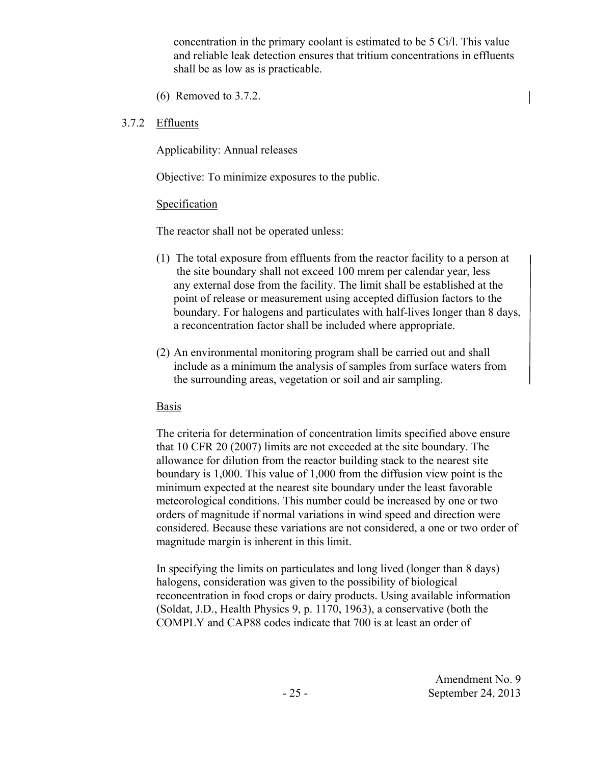concentration in the primary coolant is estimated to be 5 Ci/l. This value and reliable leak detection ensures that tritium concentrations in effluents shall be as low as is practicable.

(6) Removed to 3.7.2.

# 3.7.2 Effluents

Applicability: Annual releases

Objective: To minimize exposures to the public.

# Specification

The reactor shall not be operated unless:

- (1) The total exposure from effluents from the reactor facility to a person at the site boundary shall not exceed 100 mrem per calendar year, less any external dose from the facility. The limit shall be established at the point of release or measurement using accepted diffusion factors to the boundary. For halogens and particulates with half-lives longer than 8 days, a reconcentration factor shall be included where appropriate.
- (2) An environmental monitoring program shall be carried out and shall include as a minimum the analysis of samples from surface waters from the surrounding areas, vegetation or soil and air sampling.

# Basis

 The criteria for determination of concentration limits specified above ensure that 10 CFR 20 (2007) limits are not exceeded at the site boundary. The allowance for dilution from the reactor building stack to the nearest site boundary is 1,000. This value of 1,000 from the diffusion view point is the minimum expected at the nearest site boundary under the least favorable meteorological conditions. This number could be increased by one or two orders of magnitude if normal variations in wind speed and direction were considered. Because these variations are not considered, a one or two order of magnitude margin is inherent in this limit.

 In specifying the limits on particulates and long lived (longer than 8 days) halogens, consideration was given to the possibility of biological reconcentration in food crops or dairy products. Using available information (Soldat, J.D., Health Physics 9, p. 1170, 1963), a conservative (both the COMPLY and CAP88 codes indicate that 700 is at least an order of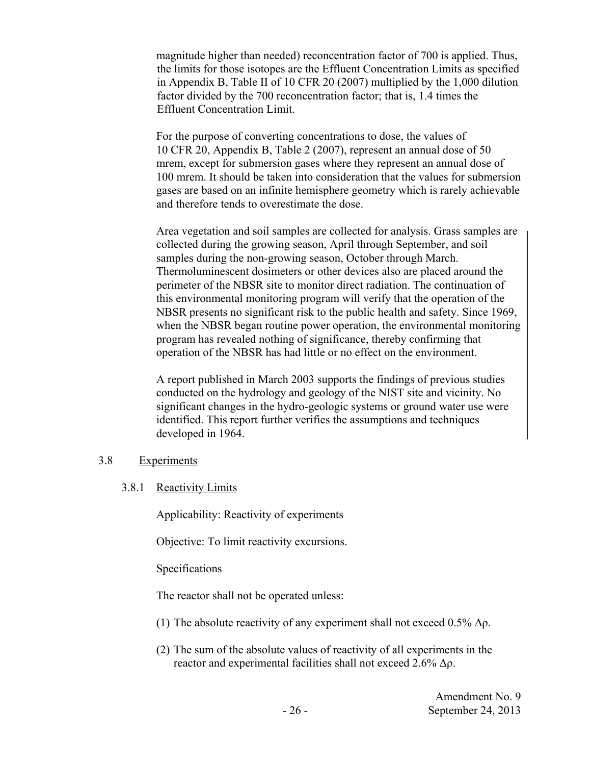magnitude higher than needed) reconcentration factor of 700 is applied. Thus, the limits for those isotopes are the Effluent Concentration Limits as specified in Appendix B, Table II of 10 CFR 20 (2007) multiplied by the 1,000 dilution factor divided by the 700 reconcentration factor; that is, 1.4 times the Effluent Concentration Limit.

 For the purpose of converting concentrations to dose, the values of 10 CFR 20, Appendix B, Table 2 (2007), represent an annual dose of 50 mrem, except for submersion gases where they represent an annual dose of 100 mrem. It should be taken into consideration that the values for submersion gases are based on an infinite hemisphere geometry which is rarely achievable and therefore tends to overestimate the dose.

 Area vegetation and soil samples are collected for analysis. Grass samples are collected during the growing season, April through September, and soil samples during the non-growing season, October through March. Thermoluminescent dosimeters or other devices also are placed around the perimeter of the NBSR site to monitor direct radiation. The continuation of this environmental monitoring program will verify that the operation of the NBSR presents no significant risk to the public health and safety. Since 1969, when the NBSR began routine power operation, the environmental monitoring program has revealed nothing of significance, thereby confirming that operation of the NBSR has had little or no effect on the environment.

A report published in March 2003 supports the findings of previous studies conducted on the hydrology and geology of the NIST site and vicinity. No significant changes in the hydro-geologic systems or ground water use were identified. This report further verifies the assumptions and techniques developed in 1964.

### 3.8 Experiments

### 3.8.1 Reactivity Limits

Applicability: Reactivity of experiments

Objective: To limit reactivity excursions.

### **Specifications**

The reactor shall not be operated unless:

- (1) The absolute reactivity of any experiment shall not exceed  $0.5\%$   $\Delta \rho$ .
- (2) The sum of the absolute values of reactivity of all experiments in the reactor and experimental facilities shall not exceed 2.6% Δρ.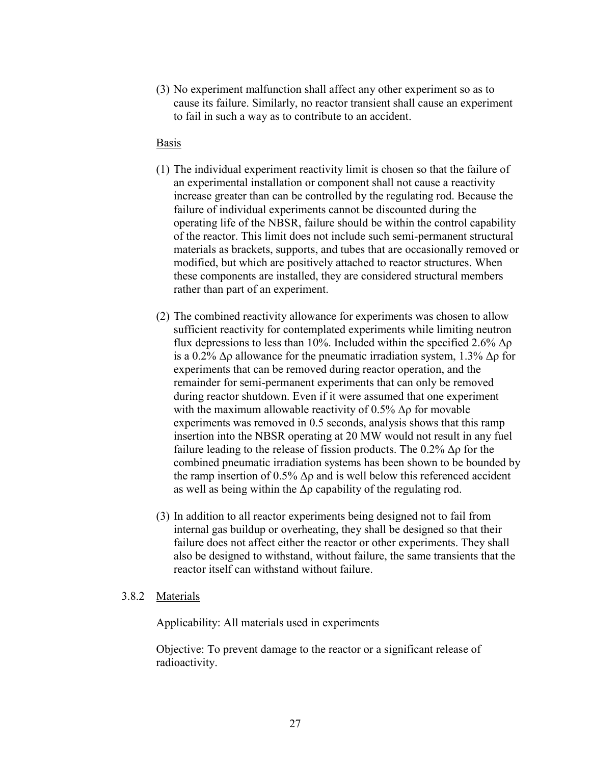(3) No experiment malfunction shall affect any other experiment so as to cause its failure. Similarly, no reactor transient shall cause an experiment to fail in such a way as to contribute to an accident.

#### Basis

- (1) The individual experiment reactivity limit is chosen so that the failure of an experimental installation or component shall not cause a reactivity increase greater than can be controlled by the regulating rod. Because the failure of individual experiments cannot be discounted during the operating life of the NBSR, failure should be within the control capability of the reactor. This limit does not include such semi-permanent structural materials as brackets, supports, and tubes that are occasionally removed or modified, but which are positively attached to reactor structures. When these components are installed, they are considered structural members rather than part of an experiment.
- (2) The combined reactivity allowance for experiments was chosen to allow sufficient reactivity for contemplated experiments while limiting neutron flux depressions to less than 10%. Included within the specified  $2.6\%$   $\Delta \rho$ is a 0.2% Δρ allowance for the pneumatic irradiation system, 1.3% Δρ for experiments that can be removed during reactor operation, and the remainder for semi-permanent experiments that can only be removed during reactor shutdown. Even if it were assumed that one experiment with the maximum allowable reactivity of 0.5%  $\Delta \rho$  for movable experiments was removed in 0.5 seconds, analysis shows that this ramp insertion into the NBSR operating at 20 MW would not result in any fuel failure leading to the release of fission products. The  $0.2\%$   $\Delta \rho$  for the combined pneumatic irradiation systems has been shown to be bounded by the ramp insertion of 0.5%  $\Delta \rho$  and is well below this referenced accident as well as being within the  $\Delta \rho$  capability of the regulating rod.
- (3) In addition to all reactor experiments being designed not to fail from internal gas buildup or overheating, they shall be designed so that their failure does not affect either the reactor or other experiments. They shall also be designed to withstand, without failure, the same transients that the reactor itself can withstand without failure.

#### 3.8.2 Materials

Applicability: All materials used in experiments

Objective: To prevent damage to the reactor or a significant release of radioactivity.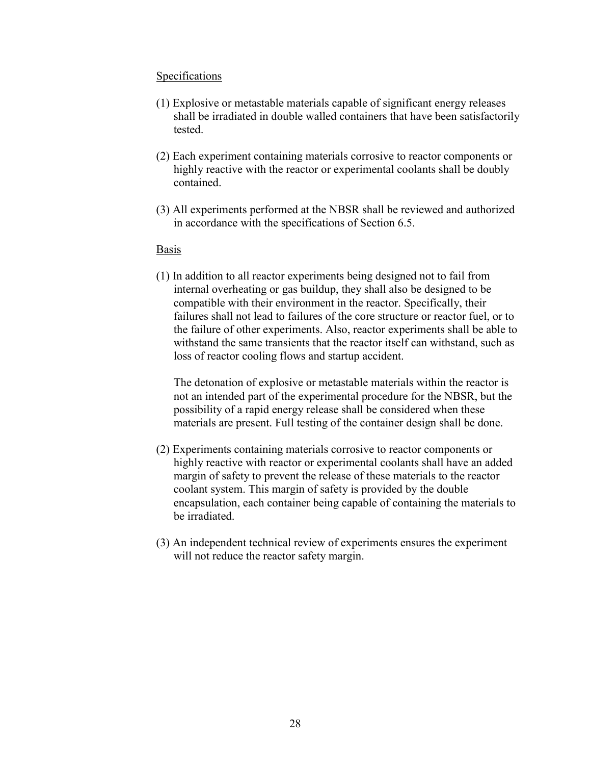#### Specifications

- (1) Explosive or metastable materials capable of significant energy releases shall be irradiated in double walled containers that have been satisfactorily tested.
- (2) Each experiment containing materials corrosive to reactor components or highly reactive with the reactor or experimental coolants shall be doubly contained.
- (3) All experiments performed at the NBSR shall be reviewed and authorized in accordance with the specifications of Section 6.5.

#### Basis

(1) In addition to all reactor experiments being designed not to fail from internal overheating or gas buildup, they shall also be designed to be compatible with their environment in the reactor. Specifically, their failures shall not lead to failures of the core structure or reactor fuel, or to the failure of other experiments. Also, reactor experiments shall be able to withstand the same transients that the reactor itself can withstand, such as loss of reactor cooling flows and startup accident.

The detonation of explosive or metastable materials within the reactor is not an intended part of the experimental procedure for the NBSR, but the possibility of a rapid energy release shall be considered when these materials are present. Full testing of the container design shall be done.

- (2) Experiments containing materials corrosive to reactor components or highly reactive with reactor or experimental coolants shall have an added margin of safety to prevent the release of these materials to the reactor coolant system. This margin of safety is provided by the double encapsulation, each container being capable of containing the materials to be irradiated.
- (3) An independent technical review of experiments ensures the experiment will not reduce the reactor safety margin.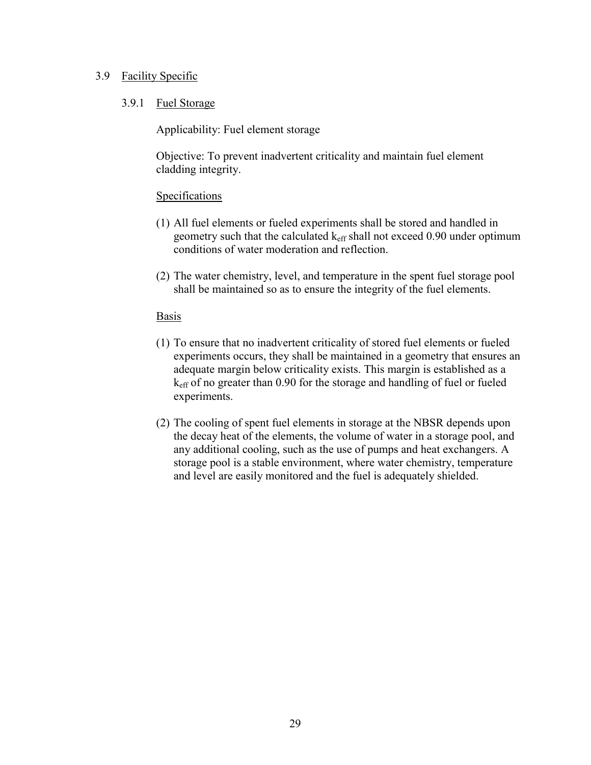### 3.9 Facility Specific

# 3.9.1 Fuel Storage

Applicability: Fuel element storage

Objective: To prevent inadvertent criticality and maintain fuel element cladding integrity.

# **Specifications**

- (1) All fuel elements or fueled experiments shall be stored and handled in geometry such that the calculated  $k_{\text{eff}}$  shall not exceed 0.90 under optimum conditions of water moderation and reflection.
- (2) The water chemistry, level, and temperature in the spent fuel storage pool shall be maintained so as to ensure the integrity of the fuel elements.

### Basis

- (1) To ensure that no inadvertent criticality of stored fuel elements or fueled experiments occurs, they shall be maintained in a geometry that ensures an adequate margin below criticality exists. This margin is established as a keff of no greater than 0.90 for the storage and handling of fuel or fueled experiments.
- (2) The cooling of spent fuel elements in storage at the NBSR depends upon the decay heat of the elements, the volume of water in a storage pool, and any additional cooling, such as the use of pumps and heat exchangers. A storage pool is a stable environment, where water chemistry, temperature and level are easily monitored and the fuel is adequately shielded.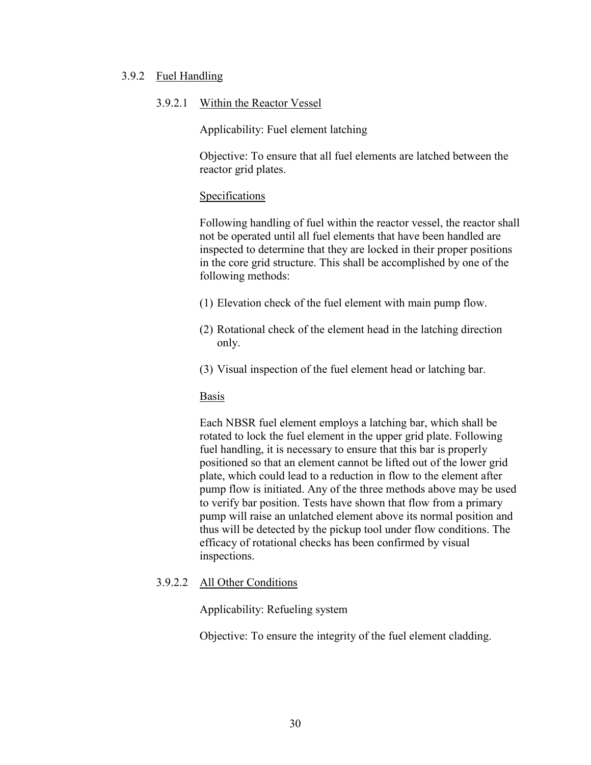#### 3.9.2 Fuel Handling

#### 3.9.2.1 Within the Reactor Vessel

Applicability: Fuel element latching

Objective: To ensure that all fuel elements are latched between the reactor grid plates.

#### **Specifications**

Following handling of fuel within the reactor vessel, the reactor shall not be operated until all fuel elements that have been handled are inspected to determine that they are locked in their proper positions in the core grid structure. This shall be accomplished by one of the following methods:

- (1) Elevation check of the fuel element with main pump flow.
- (2) Rotational check of the element head in the latching direction only.
- (3) Visual inspection of the fuel element head or latching bar.

#### Basis

Each NBSR fuel element employs a latching bar, which shall be rotated to lock the fuel element in the upper grid plate. Following fuel handling, it is necessary to ensure that this bar is properly positioned so that an element cannot be lifted out of the lower grid plate, which could lead to a reduction in flow to the element after pump flow is initiated. Any of the three methods above may be used to verify bar position. Tests have shown that flow from a primary pump will raise an unlatched element above its normal position and thus will be detected by the pickup tool under flow conditions. The efficacy of rotational checks has been confirmed by visual inspections.

### 3.9.2.2 All Other Conditions

Applicability: Refueling system

Objective: To ensure the integrity of the fuel element cladding.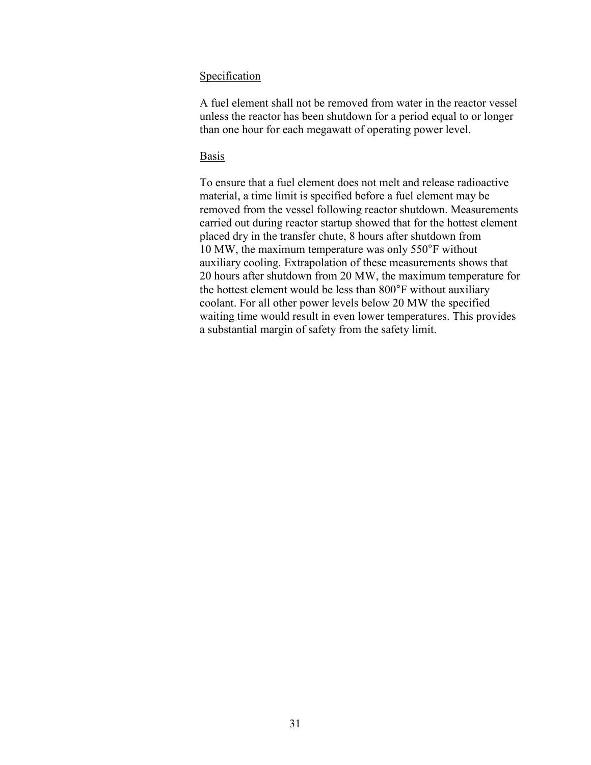#### Specification

A fuel element shall not be removed from water in the reactor vessel unless the reactor has been shutdown for a period equal to or longer than one hour for each megawatt of operating power level.

### Basis

To ensure that a fuel element does not melt and release radioactive material, a time limit is specified before a fuel element may be removed from the vessel following reactor shutdown. Measurements carried out during reactor startup showed that for the hottest element placed dry in the transfer chute, 8 hours after shutdown from 10 MW, the maximum temperature was only 550°F without auxiliary cooling. Extrapolation of these measurements shows that 20 hours after shutdown from 20 MW, the maximum temperature for the hottest element would be less than 800°F without auxiliary coolant. For all other power levels below 20 MW the specified waiting time would result in even lower temperatures. This provides a substantial margin of safety from the safety limit.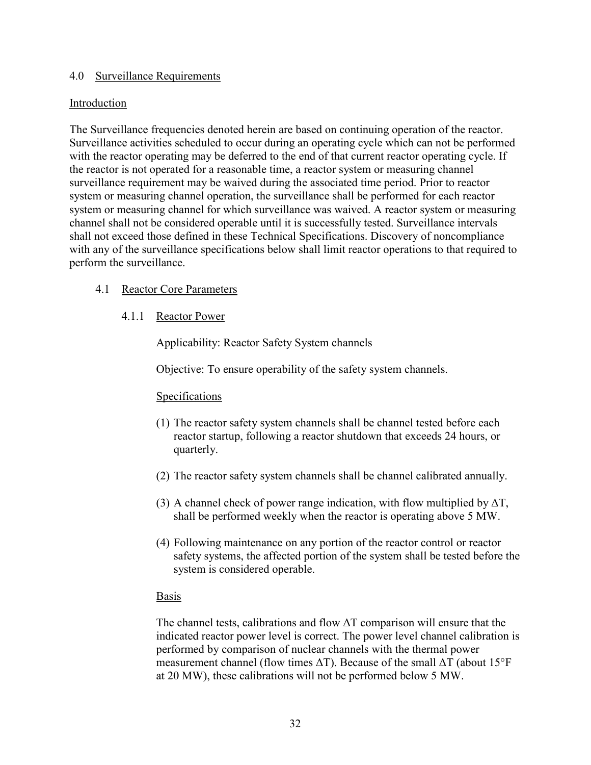### 4.0 Surveillance Requirements

# Introduction

The Surveillance frequencies denoted herein are based on continuing operation of the reactor. Surveillance activities scheduled to occur during an operating cycle which can not be performed with the reactor operating may be deferred to the end of that current reactor operating cycle. If the reactor is not operated for a reasonable time, a reactor system or measuring channel surveillance requirement may be waived during the associated time period. Prior to reactor system or measuring channel operation, the surveillance shall be performed for each reactor system or measuring channel for which surveillance was waived. A reactor system or measuring channel shall not be considered operable until it is successfully tested. Surveillance intervals shall not exceed those defined in these Technical Specifications. Discovery of noncompliance with any of the surveillance specifications below shall limit reactor operations to that required to perform the surveillance.

# 4.1 Reactor Core Parameters

4.1.1 Reactor Power

Applicability: Reactor Safety System channels

Objective: To ensure operability of the safety system channels.

# Specifications

- (1) The reactor safety system channels shall be channel tested before each reactor startup, following a reactor shutdown that exceeds 24 hours, or quarterly.
- (2) The reactor safety system channels shall be channel calibrated annually.
- (3) A channel check of power range indication, with flow multiplied by  $\Delta T$ , shall be performed weekly when the reactor is operating above 5 MW.
- (4) Following maintenance on any portion of the reactor control or reactor safety systems, the affected portion of the system shall be tested before the system is considered operable.

### Basis

The channel tests, calibrations and flow  $\Delta T$  comparison will ensure that the indicated reactor power level is correct. The power level channel calibration is performed by comparison of nuclear channels with the thermal power measurement channel (flow times  $\Delta T$ ). Because of the small  $\Delta T$  (about 15°F at 20 MW), these calibrations will not be performed below 5 MW.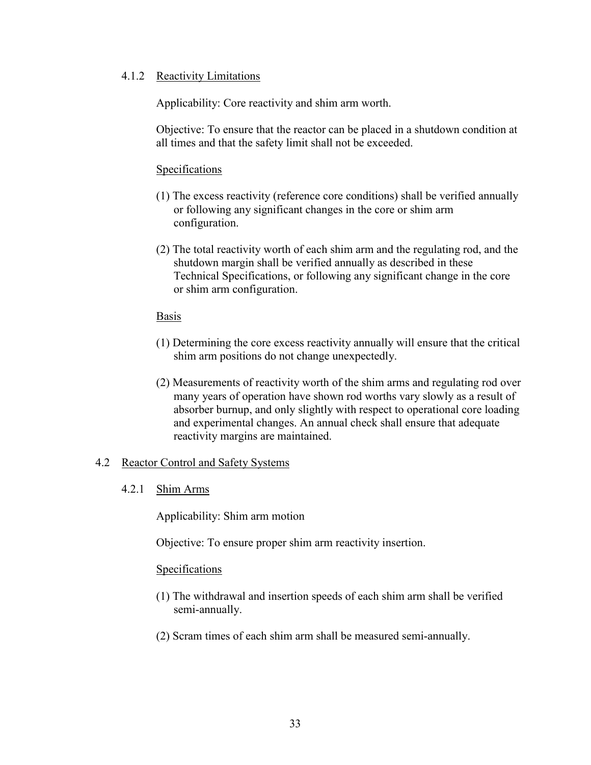### 4.1.2 Reactivity Limitations

Applicability: Core reactivity and shim arm worth.

Objective: To ensure that the reactor can be placed in a shutdown condition at all times and that the safety limit shall not be exceeded.

# Specifications

- (1) The excess reactivity (reference core conditions) shall be verified annually or following any significant changes in the core or shim arm configuration.
- (2) The total reactivity worth of each shim arm and the regulating rod, and the shutdown margin shall be verified annually as described in these Technical Specifications, or following any significant change in the core or shim arm configuration.

### Basis

- (1) Determining the core excess reactivity annually will ensure that the critical shim arm positions do not change unexpectedly.
- (2) Measurements of reactivity worth of the shim arms and regulating rod over many years of operation have shown rod worths vary slowly as a result of absorber burnup, and only slightly with respect to operational core loading and experimental changes. An annual check shall ensure that adequate reactivity margins are maintained.

### 4.2 Reactor Control and Safety Systems

### 4.2.1 Shim Arms

Applicability: Shim arm motion

Objective: To ensure proper shim arm reactivity insertion.

- (1) The withdrawal and insertion speeds of each shim arm shall be verified semi-annually.
- (2) Scram times of each shim arm shall be measured semi-annually.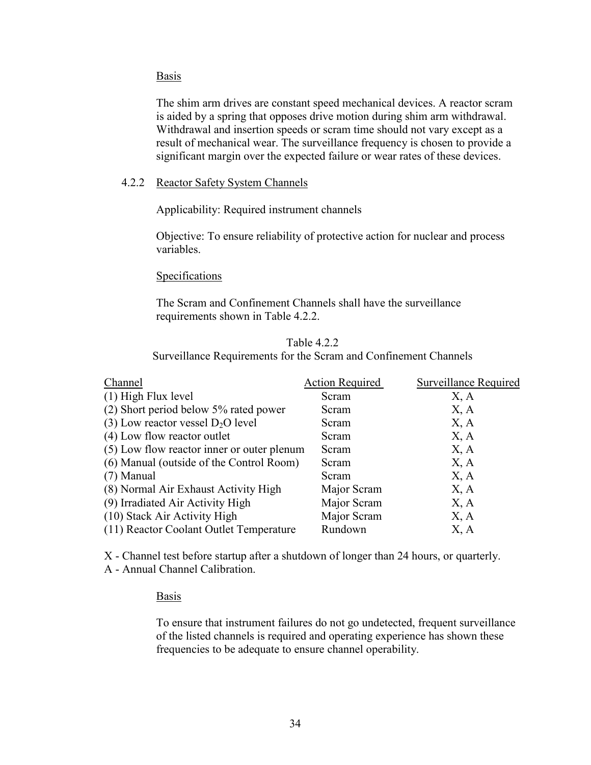The shim arm drives are constant speed mechanical devices. A reactor scram is aided by a spring that opposes drive motion during shim arm withdrawal. Withdrawal and insertion speeds or scram time should not vary except as a result of mechanical wear. The surveillance frequency is chosen to provide a significant margin over the expected failure or wear rates of these devices.

### 4.2.2 Reactor Safety System Channels

Applicability: Required instrument channels

Objective: To ensure reliability of protective action for nuclear and process variables.

#### Specifications

The Scram and Confinement Channels shall have the surveillance requirements shown in Table 4.2.2.

#### Table 4.2.2

Surveillance Requirements for the Scram and Confinement Channels

| Channel                                    | <b>Action Required</b> | <b>Surveillance Required</b> |
|--------------------------------------------|------------------------|------------------------------|
| $(1)$ High Flux level                      | Scram                  | X, A                         |
| $(2)$ Short period below 5% rated power    | Scram                  | X, A                         |
| (3) Low reactor vessel $D_2O$ level        | Scram                  | X, A                         |
| (4) Low flow reactor outlet                | Scram                  | X, A                         |
| (5) Low flow reactor inner or outer plenum | Scram                  | X, A                         |
| (6) Manual (outside of the Control Room)   | Scram                  | X, A                         |
| $(7)$ Manual                               | Scram                  | X, A                         |
| (8) Normal Air Exhaust Activity High       | Major Scram            | X, A                         |
| (9) Irradiated Air Activity High           | Major Scram            | X, A                         |
| (10) Stack Air Activity High               | Major Scram            | X, A                         |
| (11) Reactor Coolant Outlet Temperature    | Rundown                | X, A                         |

X - Channel test before startup after a shutdown of longer than 24 hours, or quarterly.

A - Annual Channel Calibration.

### Basis

To ensure that instrument failures do not go undetected, frequent surveillance of the listed channels is required and operating experience has shown these frequencies to be adequate to ensure channel operability.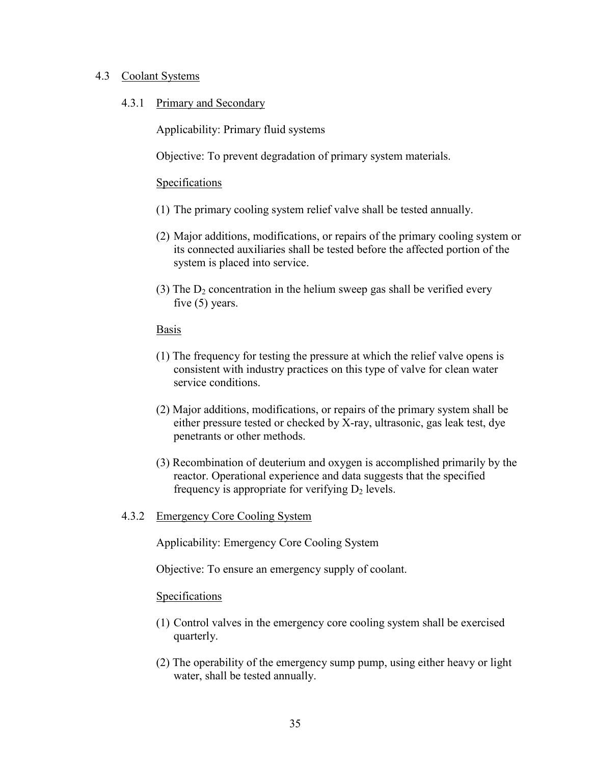### 4.3 Coolant Systems

### 4.3.1 Primary and Secondary

Applicability: Primary fluid systems

Objective: To prevent degradation of primary system materials.

#### **Specifications**

- (1) The primary cooling system relief valve shall be tested annually.
- (2) Major additions, modifications, or repairs of the primary cooling system or its connected auxiliaries shall be tested before the affected portion of the system is placed into service.
- (3) The  $D_2$  concentration in the helium sweep gas shall be verified every five (5) years.

#### **Basis**

- (1) The frequency for testing the pressure at which the relief valve opens is consistent with industry practices on this type of valve for clean water service conditions.
- (2) Major additions, modifications, or repairs of the primary system shall be either pressure tested or checked by X-ray, ultrasonic, gas leak test, dye penetrants or other methods.
- (3) Recombination of deuterium and oxygen is accomplished primarily by the reactor. Operational experience and data suggests that the specified frequency is appropriate for verifying  $D_2$  levels.

### 4.3.2 Emergency Core Cooling System

Applicability: Emergency Core Cooling System

Objective: To ensure an emergency supply of coolant.

- (1) Control valves in the emergency core cooling system shall be exercised quarterly.
- (2) The operability of the emergency sump pump, using either heavy or light water, shall be tested annually.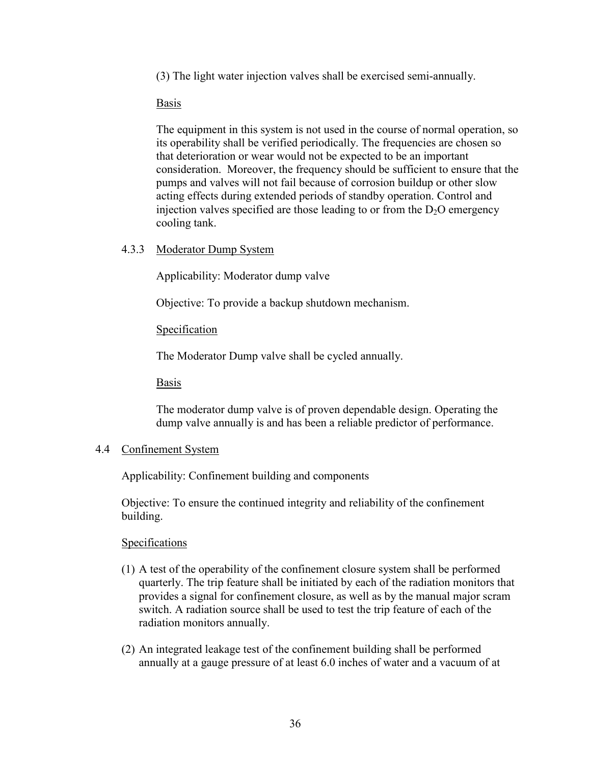(3) The light water injection valves shall be exercised semi-annually.

Basis

The equipment in this system is not used in the course of normal operation, so its operability shall be verified periodically. The frequencies are chosen so that deterioration or wear would not be expected to be an important consideration. Moreover, the frequency should be sufficient to ensure that the pumps and valves will not fail because of corrosion buildup or other slow acting effects during extended periods of standby operation. Control and injection valves specified are those leading to or from the  $D<sub>2</sub>O$  emergency cooling tank.

4.3.3 Moderator Dump System

Applicability: Moderator dump valve

Objective: To provide a backup shutdown mechanism.

# **Specification**

The Moderator Dump valve shall be cycled annually.

Basis

The moderator dump valve is of proven dependable design. Operating the dump valve annually is and has been a reliable predictor of performance.

### 4.4 Confinement System

Applicability: Confinement building and components

Objective: To ensure the continued integrity and reliability of the confinement building.

- (1) A test of the operability of the confinement closure system shall be performed quarterly. The trip feature shall be initiated by each of the radiation monitors that provides a signal for confinement closure, as well as by the manual major scram switch. A radiation source shall be used to test the trip feature of each of the radiation monitors annually.
- (2) An integrated leakage test of the confinement building shall be performed annually at a gauge pressure of at least 6.0 inches of water and a vacuum of at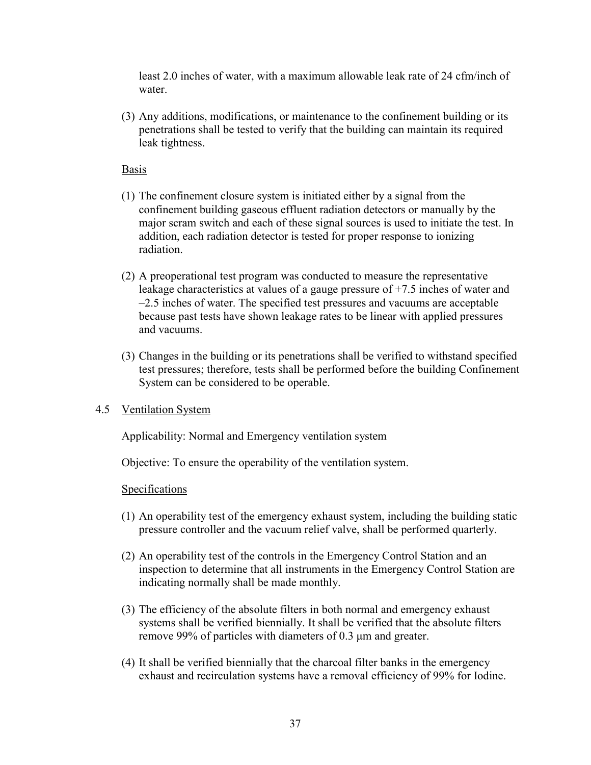least 2.0 inches of water, with a maximum allowable leak rate of 24 cfm/inch of water.

(3) Any additions, modifications, or maintenance to the confinement building or its penetrations shall be tested to verify that the building can maintain its required leak tightness.

# Basis

- (1) The confinement closure system is initiated either by a signal from the confinement building gaseous effluent radiation detectors or manually by the major scram switch and each of these signal sources is used to initiate the test. In addition, each radiation detector is tested for proper response to ionizing radiation.
- (2) A preoperational test program was conducted to measure the representative leakage characteristics at values of a gauge pressure of +7.5 inches of water and –2.5 inches of water. The specified test pressures and vacuums are acceptable because past tests have shown leakage rates to be linear with applied pressures and vacuums.
- (3) Changes in the building or its penetrations shall be verified to withstand specified test pressures; therefore, tests shall be performed before the building Confinement System can be considered to be operable.

# 4.5 Ventilation System

Applicability: Normal and Emergency ventilation system

Objective: To ensure the operability of the ventilation system.

- (1) An operability test of the emergency exhaust system, including the building static pressure controller and the vacuum relief valve, shall be performed quarterly.
- (2) An operability test of the controls in the Emergency Control Station and an inspection to determine that all instruments in the Emergency Control Station are indicating normally shall be made monthly.
- (3) The efficiency of the absolute filters in both normal and emergency exhaust systems shall be verified biennially. It shall be verified that the absolute filters remove 99% of particles with diameters of 0.3 μm and greater.
- (4) It shall be verified biennially that the charcoal filter banks in the emergency exhaust and recirculation systems have a removal efficiency of 99% for Iodine.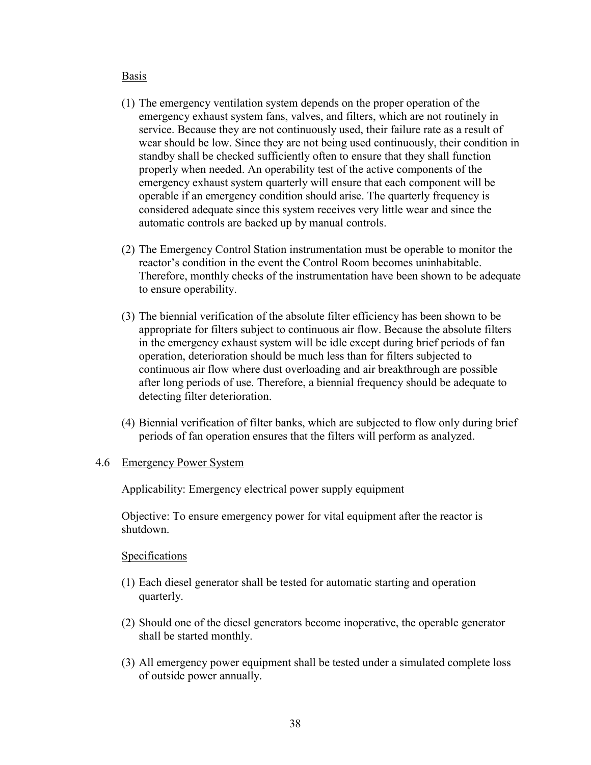- (1) The emergency ventilation system depends on the proper operation of the emergency exhaust system fans, valves, and filters, which are not routinely in service. Because they are not continuously used, their failure rate as a result of wear should be low. Since they are not being used continuously, their condition in standby shall be checked sufficiently often to ensure that they shall function properly when needed. An operability test of the active components of the emergency exhaust system quarterly will ensure that each component will be operable if an emergency condition should arise. The quarterly frequency is considered adequate since this system receives very little wear and since the automatic controls are backed up by manual controls.
- (2) The Emergency Control Station instrumentation must be operable to monitor the reactor's condition in the event the Control Room becomes uninhabitable. Therefore, monthly checks of the instrumentation have been shown to be adequate to ensure operability.
- (3) The biennial verification of the absolute filter efficiency has been shown to be appropriate for filters subject to continuous air flow. Because the absolute filters in the emergency exhaust system will be idle except during brief periods of fan operation, deterioration should be much less than for filters subjected to continuous air flow where dust overloading and air breakthrough are possible after long periods of use. Therefore, a biennial frequency should be adequate to detecting filter deterioration.
- (4) Biennial verification of filter banks, which are subjected to flow only during brief periods of fan operation ensures that the filters will perform as analyzed.

#### 4.6 Emergency Power System

Applicability: Emergency electrical power supply equipment

Objective: To ensure emergency power for vital equipment after the reactor is shutdown.

- (1) Each diesel generator shall be tested for automatic starting and operation quarterly.
- (2) Should one of the diesel generators become inoperative, the operable generator shall be started monthly.
- (3) All emergency power equipment shall be tested under a simulated complete loss of outside power annually.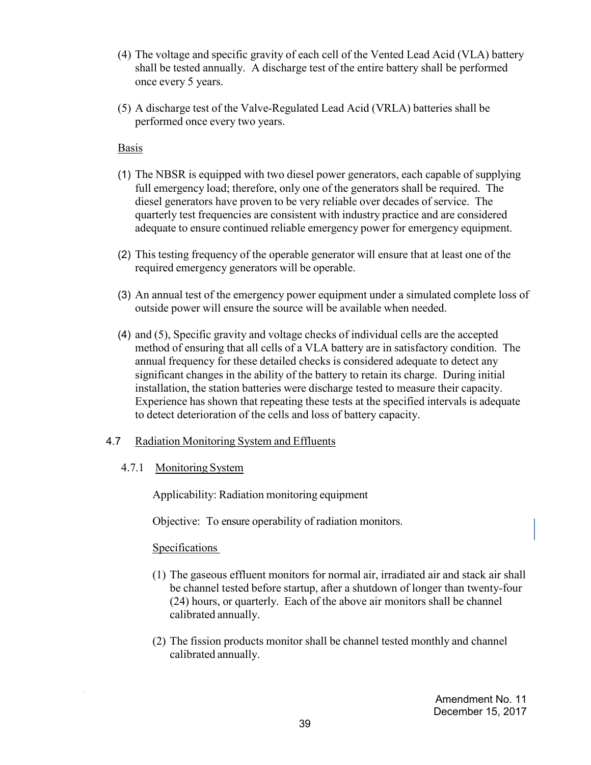- (4) The voltage and specific gravity of each cell of the Vented Lead Acid (VLA) battery shall be tested annually. A discharge test of the entire battery shall be performed once every 5 years.
- (5) A discharge test of the Valve-Regulated Lead Acid (VRLA) batteries shall be performed once every two years.

- (1) The NBSR is equipped with two diesel power generators, each capable of supplying full emergency load; therefore, only one of the generators shall be required. The diesel generators have proven to be very reliable over decades of service. The quarterly test frequencies are consistent with industry practice and are considered adequate to ensure continued reliable emergency power for emergency equipment.
- (2) This testing frequency of the operable generator will ensure that at least one of the required emergency generators will be operable.
- (3) An annual test of the emergency power equipment under a simulated complete loss of outside power will ensure the source will be available when needed.
- (4) and (5), Specific gravity and voltage checks of individual cells are the accepted method of ensuring that all cells of a VLA battery are in satisfactory condition. The annual frequency for these detailed checks is considered adequate to detect any significant changes in the ability of the battery to retain its charge. During initial installation, the station batteries were discharge tested to measure their capacity. Experience has shown that repeating these tests at the specified intervals is adequate to detect deterioration of the cells and loss of battery capacity.

# 4.7 Radiation Monitoring System and Effluents

# 4.7.1 Monitoring System

Applicability: Radiation monitoring equipment

Objective: To ensure operability of radiation monitors.

- (1) The gaseous effluent monitors for normal air, irradiated air and stack air shall be channel tested before startup, after a shutdown of longer than twenty-four (24) hours, or quarterly. Each of the above air monitors shall be channel calibrated annually.
- (2) The fission products monitor shall be channel tested monthly and channel calibrated annually.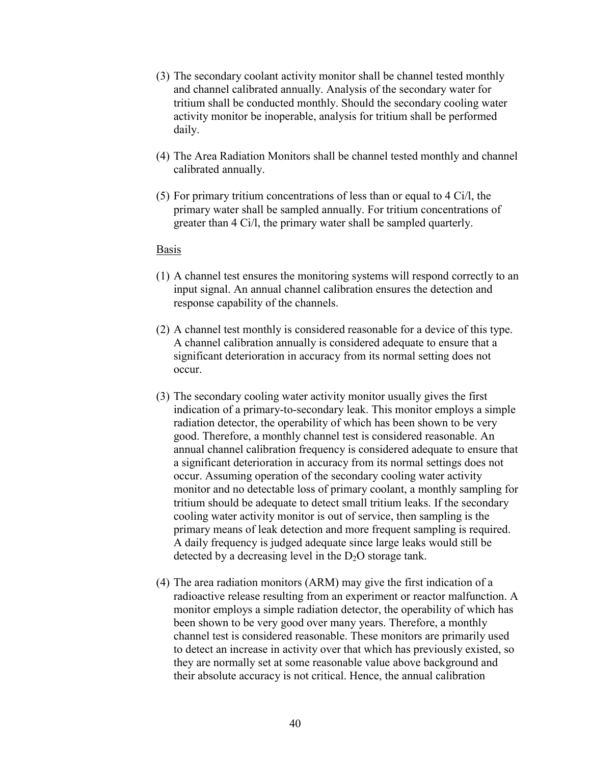- (3) The secondary coolant activity monitor shall be channel tested monthly and channel calibrated annually. Analysis of the secondary water for tritium shall be conducted monthly. Should the secondary cooling water activity monitor be inoperable, analysis for tritium shall be performed daily.
- (4) The Area Radiation Monitors shall be channel tested monthly and channel calibrated annually.
- (5) For primary tritium concentrations of less than or equal to 4 Ci/l, the primary water shall be sampled annually. For tritium concentrations of greater than 4 Ci/l, the primary water shall be sampled quarterly.

- (1) A channel test ensures the monitoring systems will respond correctly to an input signal. An annual channel calibration ensures the detection and response capability of the channels.
- (2) A channel test monthly is considered reasonable for a device of this type. A channel calibration annually is considered adequate to ensure that a significant deterioration in accuracy from its normal setting does not occur.
- (3) The secondary cooling water activity monitor usually gives the first indication of a primary-to-secondary leak. This monitor employs a simple radiation detector, the operability of which has been shown to be very good. Therefore, a monthly channel test is considered reasonable. An annual channel calibration frequency is considered adequate to ensure that a significant deterioration in accuracy from its normal settings does not occur. Assuming operation of the secondary cooling water activity monitor and no detectable loss of primary coolant, a monthly sampling for tritium should be adequate to detect small tritium leaks. If the secondary cooling water activity monitor is out of service, then sampling is the primary means of leak detection and more frequent sampling is required. A daily frequency is judged adequate since large leaks would still be detected by a decreasing level in the  $D_2O$  storage tank.
- (4) The area radiation monitors (ARM) may give the first indication of a radioactive release resulting from an experiment or reactor malfunction. A monitor employs a simple radiation detector, the operability of which has been shown to be very good over many years. Therefore, a monthly channel test is considered reasonable. These monitors are primarily used to detect an increase in activity over that which has previously existed, so they are normally set at some reasonable value above background and their absolute accuracy is not critical. Hence, the annual calibration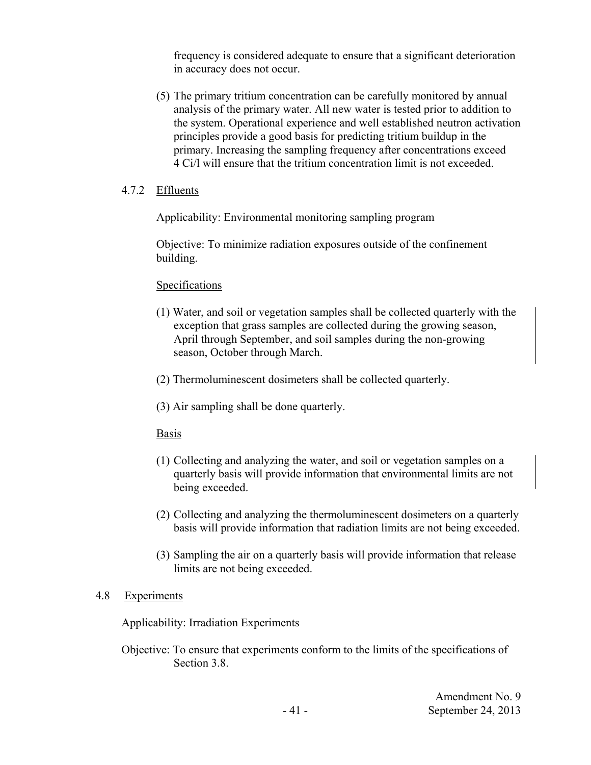frequency is considered adequate to ensure that a significant deterioration in accuracy does not occur.

(5) The primary tritium concentration can be carefully monitored by annual analysis of the primary water. All new water is tested prior to addition to the system. Operational experience and well established neutron activation principles provide a good basis for predicting tritium buildup in the primary. Increasing the sampling frequency after concentrations exceed 4 Ci/l will ensure that the tritium concentration limit is not exceeded.

# 4.7.2 Effluents

Applicability: Environmental monitoring sampling program

Objective: To minimize radiation exposures outside of the confinement building.

# **Specifications**

- (1) Water, and soil or vegetation samples shall be collected quarterly with the exception that grass samples are collected during the growing season, April through September, and soil samples during the non-growing season, October through March.
- (2) Thermoluminescent dosimeters shall be collected quarterly.
- (3) Air sampling shall be done quarterly.

### Basis

- (1) Collecting and analyzing the water, and soil or vegetation samples on a quarterly basis will provide information that environmental limits are not being exceeded.
- (2) Collecting and analyzing the thermoluminescent dosimeters on a quarterly basis will provide information that radiation limits are not being exceeded.
- (3) Sampling the air on a quarterly basis will provide information that release limits are not being exceeded.

### 4.8 Experiments

Applicability: Irradiation Experiments

Objective: To ensure that experiments conform to the limits of the specifications of Section 3.8.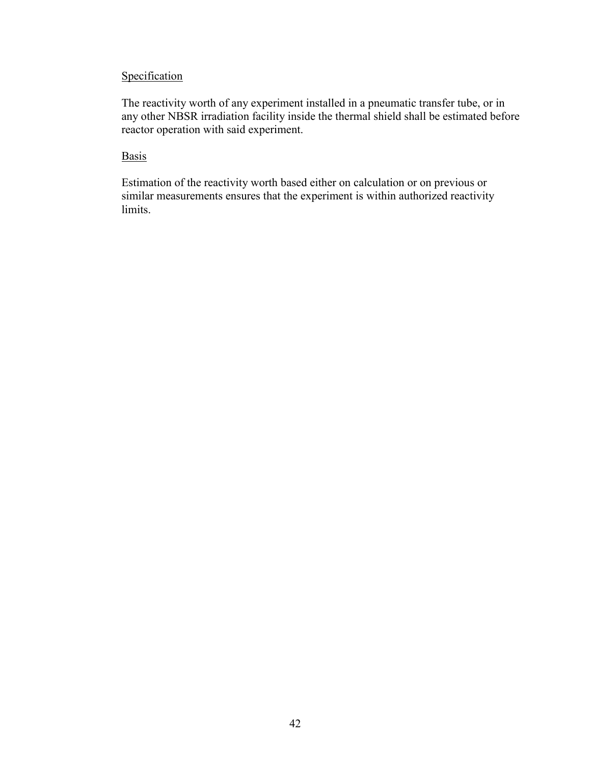# **Specification**

The reactivity worth of any experiment installed in a pneumatic transfer tube, or in any other NBSR irradiation facility inside the thermal shield shall be estimated before reactor operation with said experiment.

# **Basis**

Estimation of the reactivity worth based either on calculation or on previous or similar measurements ensures that the experiment is within authorized reactivity limits.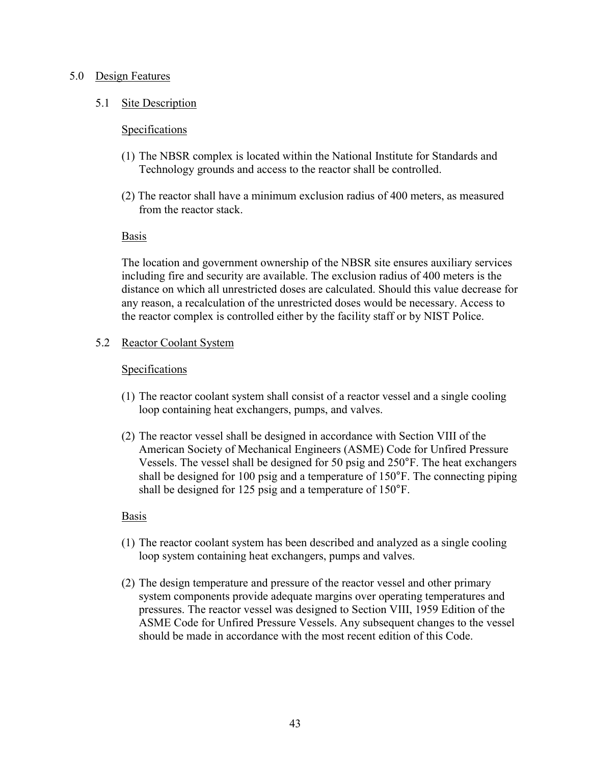### 5.0 Design Features

### 5.1 Site Description

#### **Specifications**

- (1) The NBSR complex is located within the National Institute for Standards and Technology grounds and access to the reactor shall be controlled.
- (2) The reactor shall have a minimum exclusion radius of 400 meters, as measured from the reactor stack.

#### Basis

The location and government ownership of the NBSR site ensures auxiliary services including fire and security are available. The exclusion radius of 400 meters is the distance on which all unrestricted doses are calculated. Should this value decrease for any reason, a recalculation of the unrestricted doses would be necessary. Access to the reactor complex is controlled either by the facility staff or by NIST Police.

### 5.2 Reactor Coolant System

#### Specifications

- (1) The reactor coolant system shall consist of a reactor vessel and a single cooling loop containing heat exchangers, pumps, and valves.
- (2) The reactor vessel shall be designed in accordance with Section VIII of the American Society of Mechanical Engineers (ASME) Code for Unfired Pressure Vessels. The vessel shall be designed for 50 psig and 250°F. The heat exchangers shall be designed for 100 psig and a temperature of 150°F. The connecting piping shall be designed for 125 psig and a temperature of 150°F.

### Basis

- (1) The reactor coolant system has been described and analyzed as a single cooling loop system containing heat exchangers, pumps and valves.
- (2) The design temperature and pressure of the reactor vessel and other primary system components provide adequate margins over operating temperatures and pressures. The reactor vessel was designed to Section VIII, 1959 Edition of the ASME Code for Unfired Pressure Vessels. Any subsequent changes to the vessel should be made in accordance with the most recent edition of this Code.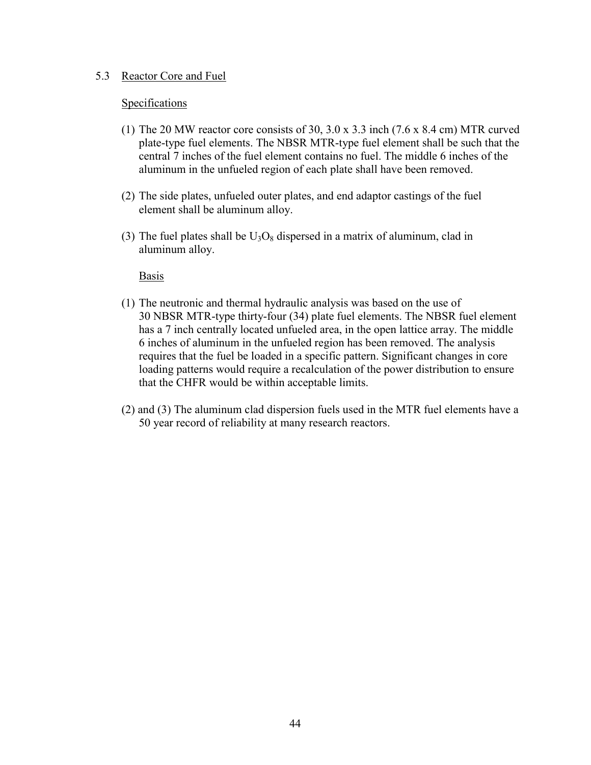#### 5.3 Reactor Core and Fuel

#### Specifications

- (1) The 20 MW reactor core consists of 30, 3.0 x 3.3 inch (7.6 x 8.4 cm) MTR curved plate-type fuel elements. The NBSR MTR-type fuel element shall be such that the central 7 inches of the fuel element contains no fuel. The middle 6 inches of the aluminum in the unfueled region of each plate shall have been removed.
- (2) The side plates, unfueled outer plates, and end adaptor castings of the fuel element shall be aluminum alloy.
- (3) The fuel plates shall be  $U_3O_8$  dispersed in a matrix of aluminum, clad in aluminum alloy.

#### Basis

- (1) The neutronic and thermal hydraulic analysis was based on the use of 30 NBSR MTR-type thirty-four (34) plate fuel elements. The NBSR fuel element has a 7 inch centrally located unfueled area, in the open lattice array. The middle 6 inches of aluminum in the unfueled region has been removed. The analysis requires that the fuel be loaded in a specific pattern. Significant changes in core loading patterns would require a recalculation of the power distribution to ensure that the CHFR would be within acceptable limits.
- (2) and (3) The aluminum clad dispersion fuels used in the MTR fuel elements have a 50 year record of reliability at many research reactors.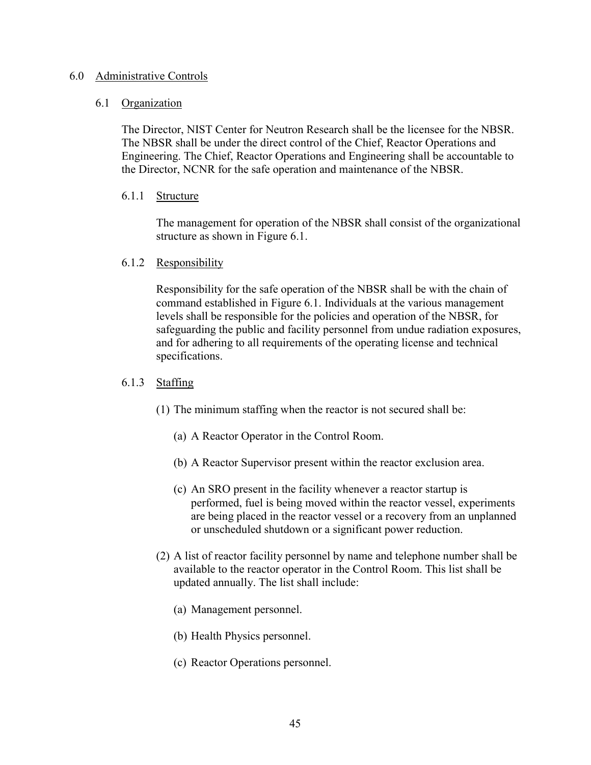#### 6.0 Administrative Controls

#### 6.1 Organization

The Director, NIST Center for Neutron Research shall be the licensee for the NBSR. The NBSR shall be under the direct control of the Chief, Reactor Operations and Engineering. The Chief, Reactor Operations and Engineering shall be accountable to the Director, NCNR for the safe operation and maintenance of the NBSR.

### 6.1.1 Structure

 The management for operation of the NBSR shall consist of the organizational structure as shown in Figure 6.1.

# 6.1.2 Responsibility

Responsibility for the safe operation of the NBSR shall be with the chain of command established in Figure 6.1. Individuals at the various management levels shall be responsible for the policies and operation of the NBSR, for safeguarding the public and facility personnel from undue radiation exposures, and for adhering to all requirements of the operating license and technical specifications.

# 6.1.3 Staffing

- (1) The minimum staffing when the reactor is not secured shall be:
	- (a) A Reactor Operator in the Control Room.
	- (b) A Reactor Supervisor present within the reactor exclusion area.
	- (c) An SRO present in the facility whenever a reactor startup is performed, fuel is being moved within the reactor vessel, experiments are being placed in the reactor vessel or a recovery from an unplanned or unscheduled shutdown or a significant power reduction.
- (2) A list of reactor facility personnel by name and telephone number shall be available to the reactor operator in the Control Room. This list shall be updated annually. The list shall include:
	- (a) Management personnel.
	- (b) Health Physics personnel.
	- (c) Reactor Operations personnel.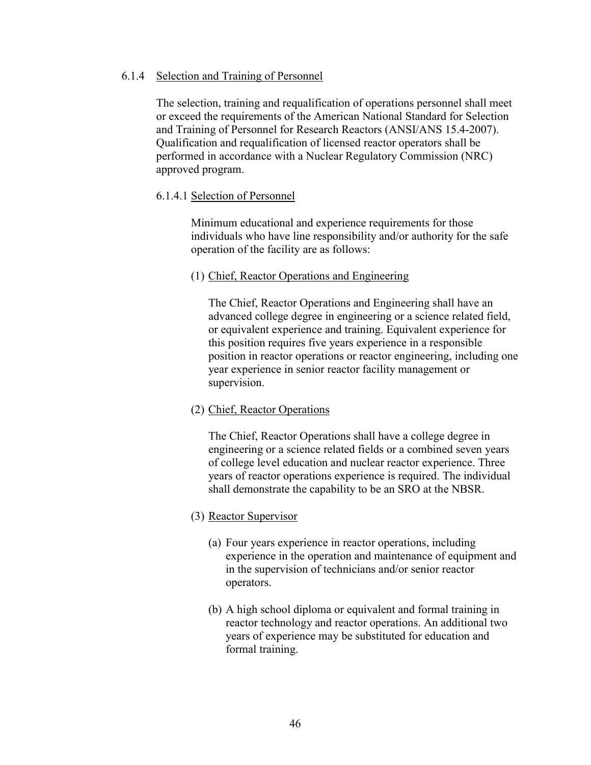### 6.1.4 Selection and Training of Personnel

The selection, training and requalification of operations personnel shall meet or exceed the requirements of the American National Standard for Selection and Training of Personnel for Research Reactors (ANSI/ANS 15.4-2007). Qualification and requalification of licensed reactor operators shall be performed in accordance with a Nuclear Regulatory Commission (NRC) approved program.

# 6.1.4.1 Selection of Personnel

Minimum educational and experience requirements for those individuals who have line responsibility and/or authority for the safe operation of the facility are as follows:

### (1) Chief, Reactor Operations and Engineering

The Chief, Reactor Operations and Engineering shall have an advanced college degree in engineering or a science related field, or equivalent experience and training. Equivalent experience for this position requires five years experience in a responsible position in reactor operations or reactor engineering, including one year experience in senior reactor facility management or supervision.

### (2) Chief, Reactor Operations

The Chief, Reactor Operations shall have a college degree in engineering or a science related fields or a combined seven years of college level education and nuclear reactor experience. Three years of reactor operations experience is required. The individual shall demonstrate the capability to be an SRO at the NBSR.

### (3) Reactor Supervisor

- (a) Four years experience in reactor operations, including experience in the operation and maintenance of equipment and in the supervision of technicians and/or senior reactor operators.
- (b) A high school diploma or equivalent and formal training in reactor technology and reactor operations. An additional two years of experience may be substituted for education and formal training.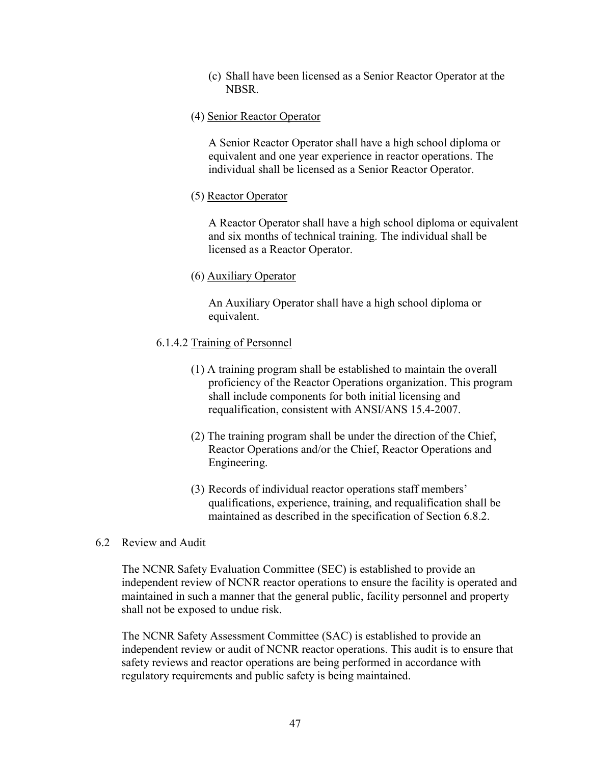(c) Shall have been licensed as a Senior Reactor Operator at the NBSR.

### (4) Senior Reactor Operator

A Senior Reactor Operator shall have a high school diploma or equivalent and one year experience in reactor operations. The individual shall be licensed as a Senior Reactor Operator.

# (5) Reactor Operator

A Reactor Operator shall have a high school diploma or equivalent and six months of technical training. The individual shall be licensed as a Reactor Operator.

# (6) Auxiliary Operator

An Auxiliary Operator shall have a high school diploma or equivalent.

# 6.1.4.2 Training of Personnel

- (1) A training program shall be established to maintain the overall proficiency of the Reactor Operations organization. This program shall include components for both initial licensing and requalification, consistent with ANSI/ANS 15.4-2007.
- (2) The training program shall be under the direction of the Chief, Reactor Operations and/or the Chief, Reactor Operations and Engineering.
- (3) Records of individual reactor operations staff members' qualifications, experience, training, and requalification shall be maintained as described in the specification of Section 6.8.2.

### 6.2 Review and Audit

The NCNR Safety Evaluation Committee (SEC) is established to provide an independent review of NCNR reactor operations to ensure the facility is operated and maintained in such a manner that the general public, facility personnel and property shall not be exposed to undue risk.

The NCNR Safety Assessment Committee (SAC) is established to provide an independent review or audit of NCNR reactor operations. This audit is to ensure that safety reviews and reactor operations are being performed in accordance with regulatory requirements and public safety is being maintained.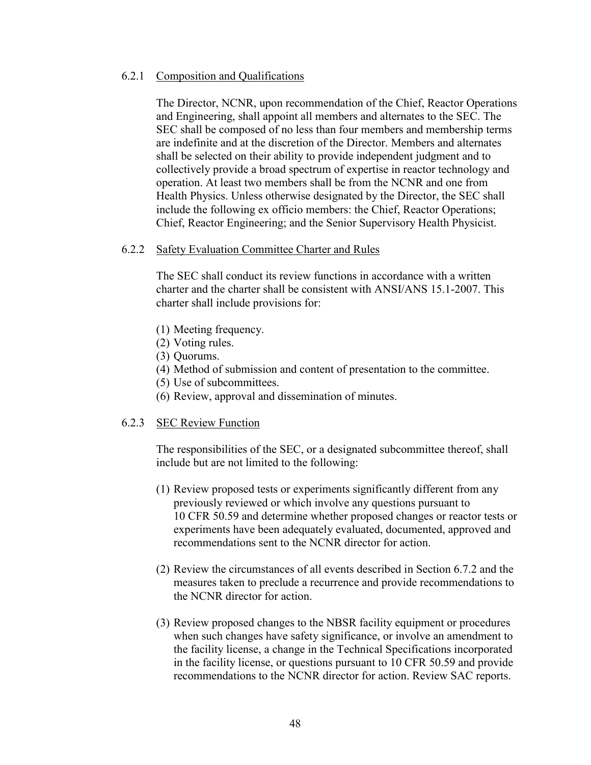### 6.2.1 Composition and Qualifications

 The Director, NCNR, upon recommendation of the Chief, Reactor Operations and Engineering, shall appoint all members and alternates to the SEC. The SEC shall be composed of no less than four members and membership terms are indefinite and at the discretion of the Director. Members and alternates shall be selected on their ability to provide independent judgment and to collectively provide a broad spectrum of expertise in reactor technology and operation. At least two members shall be from the NCNR and one from Health Physics. Unless otherwise designated by the Director, the SEC shall include the following ex officio members: the Chief, Reactor Operations; Chief, Reactor Engineering; and the Senior Supervisory Health Physicist.

# 6.2.2 Safety Evaluation Committee Charter and Rules

 The SEC shall conduct its review functions in accordance with a written charter and the charter shall be consistent with ANSI/ANS 15.1-2007. This charter shall include provisions for:

- (1) Meeting frequency.
- (2) Voting rules.
- (3) Quorums.
- (4) Method of submission and content of presentation to the committee.
- (5) Use of subcommittees.
- (6) Review, approval and dissemination of minutes.

### 6.2.3 SEC Review Function

 The responsibilities of the SEC, or a designated subcommittee thereof, shall include but are not limited to the following:

- (1) Review proposed tests or experiments significantly different from any previously reviewed or which involve any questions pursuant to 10 CFR 50.59 and determine whether proposed changes or reactor tests or experiments have been adequately evaluated, documented, approved and recommendations sent to the NCNR director for action.
- (2) Review the circumstances of all events described in Section 6.7.2 and the measures taken to preclude a recurrence and provide recommendations to the NCNR director for action.
- (3) Review proposed changes to the NBSR facility equipment or procedures when such changes have safety significance, or involve an amendment to the facility license, a change in the Technical Specifications incorporated in the facility license, or questions pursuant to 10 CFR 50.59 and provide recommendations to the NCNR director for action. Review SAC reports.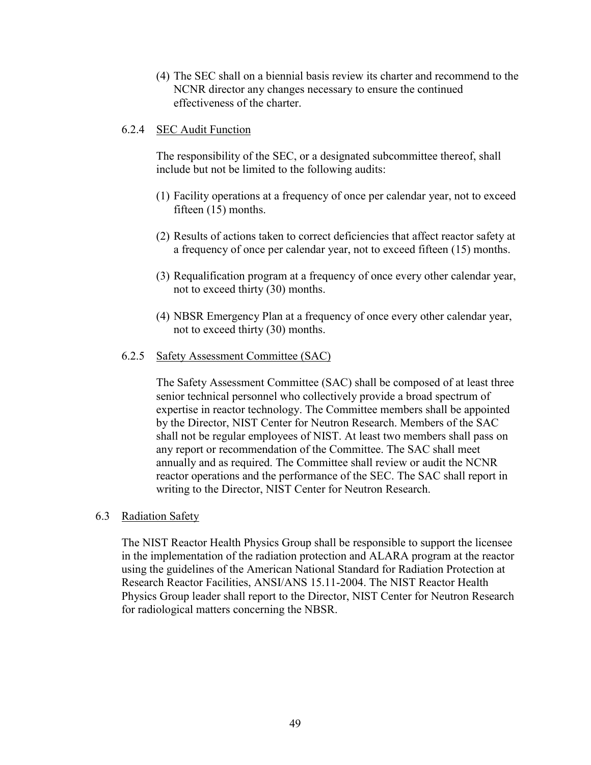(4) The SEC shall on a biennial basis review its charter and recommend to the NCNR director any changes necessary to ensure the continued effectiveness of the charter.

### 6.2.4 SEC Audit Function

The responsibility of the SEC, or a designated subcommittee thereof, shall include but not be limited to the following audits:

- (1) Facility operations at a frequency of once per calendar year, not to exceed fifteen (15) months.
- (2) Results of actions taken to correct deficiencies that affect reactor safety at a frequency of once per calendar year, not to exceed fifteen (15) months.
- (3) Requalification program at a frequency of once every other calendar year, not to exceed thirty (30) months.
- (4) NBSR Emergency Plan at a frequency of once every other calendar year, not to exceed thirty (30) months.

# 6.2.5 Safety Assessment Committee (SAC)

The Safety Assessment Committee (SAC) shall be composed of at least three senior technical personnel who collectively provide a broad spectrum of expertise in reactor technology. The Committee members shall be appointed by the Director, NIST Center for Neutron Research. Members of the SAC shall not be regular employees of NIST. At least two members shall pass on any report or recommendation of the Committee. The SAC shall meet annually and as required. The Committee shall review or audit the NCNR reactor operations and the performance of the SEC. The SAC shall report in writing to the Director, NIST Center for Neutron Research.

### 6.3 Radiation Safety

The NIST Reactor Health Physics Group shall be responsible to support the licensee in the implementation of the radiation protection and ALARA program at the reactor using the guidelines of the American National Standard for Radiation Protection at Research Reactor Facilities, ANSI/ANS 15.11-2004. The NIST Reactor Health Physics Group leader shall report to the Director, NIST Center for Neutron Research for radiological matters concerning the NBSR.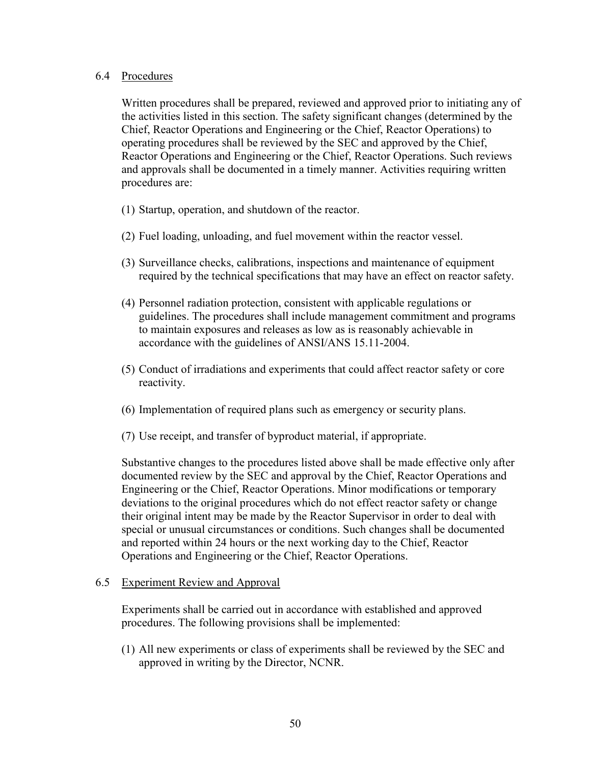### 6.4 Procedures

 Written procedures shall be prepared, reviewed and approved prior to initiating any of the activities listed in this section. The safety significant changes (determined by the Chief, Reactor Operations and Engineering or the Chief, Reactor Operations) to operating procedures shall be reviewed by the SEC and approved by the Chief, Reactor Operations and Engineering or the Chief, Reactor Operations. Such reviews and approvals shall be documented in a timely manner. Activities requiring written procedures are:

- (1) Startup, operation, and shutdown of the reactor.
- (2) Fuel loading, unloading, and fuel movement within the reactor vessel.
- (3) Surveillance checks, calibrations, inspections and maintenance of equipment required by the technical specifications that may have an effect on reactor safety.
- (4) Personnel radiation protection, consistent with applicable regulations or guidelines. The procedures shall include management commitment and programs to maintain exposures and releases as low as is reasonably achievable in accordance with the guidelines of ANSI/ANS 15.11-2004.
- (5) Conduct of irradiations and experiments that could affect reactor safety or core reactivity.
- (6) Implementation of required plans such as emergency or security plans.
- (7) Use receipt, and transfer of byproduct material, if appropriate.

Substantive changes to the procedures listed above shall be made effective only after documented review by the SEC and approval by the Chief, Reactor Operations and Engineering or the Chief, Reactor Operations. Minor modifications or temporary deviations to the original procedures which do not effect reactor safety or change their original intent may be made by the Reactor Supervisor in order to deal with special or unusual circumstances or conditions. Such changes shall be documented and reported within 24 hours or the next working day to the Chief, Reactor Operations and Engineering or the Chief, Reactor Operations.

### 6.5 Experiment Review and Approval

Experiments shall be carried out in accordance with established and approved procedures. The following provisions shall be implemented:

(1) All new experiments or class of experiments shall be reviewed by the SEC and approved in writing by the Director, NCNR.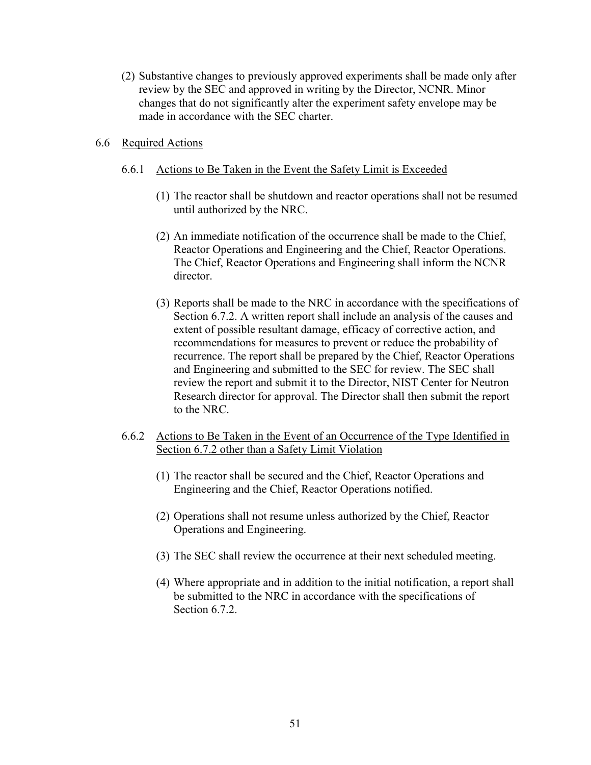(2) Substantive changes to previously approved experiments shall be made only after review by the SEC and approved in writing by the Director, NCNR. Minor changes that do not significantly alter the experiment safety envelope may be made in accordance with the SEC charter.

### 6.6 Required Actions

#### 6.6.1 Actions to Be Taken in the Event the Safety Limit is Exceeded

- (1) The reactor shall be shutdown and reactor operations shall not be resumed until authorized by the NRC.
- (2) An immediate notification of the occurrence shall be made to the Chief, Reactor Operations and Engineering and the Chief, Reactor Operations. The Chief, Reactor Operations and Engineering shall inform the NCNR director.
- (3) Reports shall be made to the NRC in accordance with the specifications of Section 6.7.2. A written report shall include an analysis of the causes and extent of possible resultant damage, efficacy of corrective action, and recommendations for measures to prevent or reduce the probability of recurrence. The report shall be prepared by the Chief, Reactor Operations and Engineering and submitted to the SEC for review. The SEC shall review the report and submit it to the Director, NIST Center for Neutron Research director for approval. The Director shall then submit the report to the NRC.
- 6.6.2 Actions to Be Taken in the Event of an Occurrence of the Type Identified in Section 6.7.2 other than a Safety Limit Violation
	- (1) The reactor shall be secured and the Chief, Reactor Operations and Engineering and the Chief, Reactor Operations notified.
	- (2) Operations shall not resume unless authorized by the Chief, Reactor Operations and Engineering.
	- (3) The SEC shall review the occurrence at their next scheduled meeting.
	- (4) Where appropriate and in addition to the initial notification, a report shall be submitted to the NRC in accordance with the specifications of Section 6.7.2.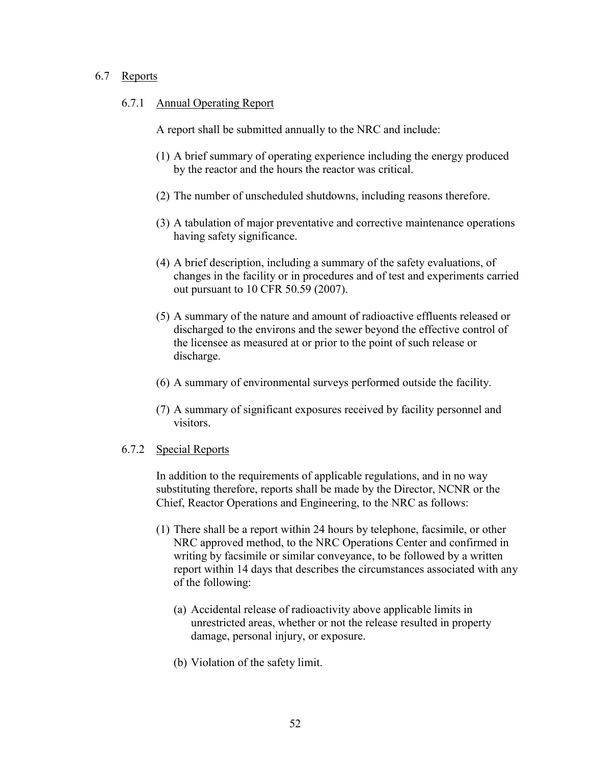### 6.7 Reports

#### 6.7.1 Annual Operating Report

A report shall be submitted annually to the NRC and include:

- (1) A brief summary of operating experience including the energy produced by the reactor and the hours the reactor was critical.
- (2) The number of unscheduled shutdowns, including reasons therefore.
- (3) A tabulation of major preventative and corrective maintenance operations having safety significance.
- (4) A brief description, including a summary of the safety evaluations, of changes in the facility or in procedures and of test and experiments carried out pursuant to 10 CFR 50.59 (2007).
- (5) A summary of the nature and amount of radioactive effluents released or discharged to the environs and the sewer beyond the effective control of the licensee as measured at or prior to the point of such release or discharge.
- (6) A summary of environmental surveys performed outside the facility.
- (7) A summary of significant exposures received by facility personnel and visitors.

### 6.7.2 Special Reports

In addition to the requirements of applicable regulations, and in no way substituting therefore, reports shall be made by the Director, NCNR or the Chief, Reactor Operations and Engineering, to the NRC as follows:

- (1) There shall be a report within 24 hours by telephone, facsimile, or other NRC approved method, to the NRC Operations Center and confirmed in writing by facsimile or similar conveyance, to be followed by a written report within 14 days that describes the circumstances associated with any of the following:
	- (a) Accidental release of radioactivity above applicable limits in unrestricted areas, whether or not the release resulted in property damage, personal injury, or exposure.
	- (b) Violation of the safety limit.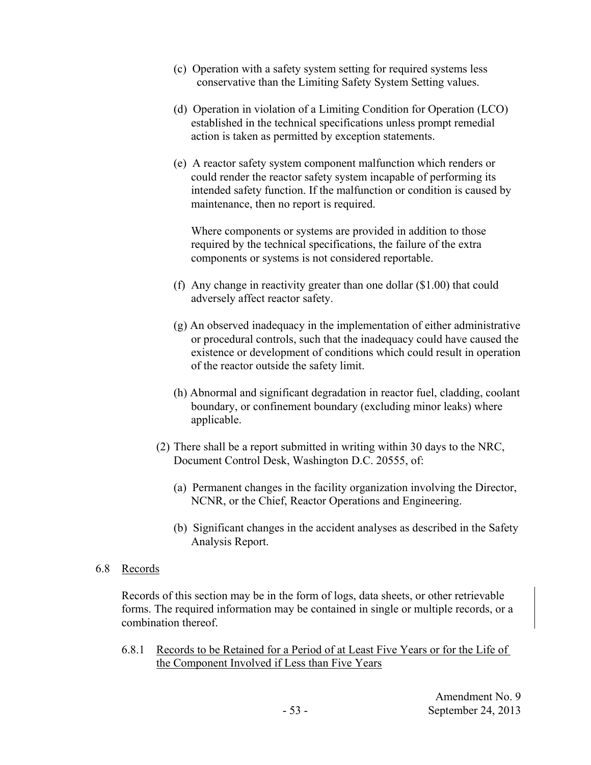- (c) Operation with a safety system setting for required systems less conservative than the Limiting Safety System Setting values.
- (d) Operation in violation of a Limiting Condition for Operation (LCO) established in the technical specifications unless prompt remedial action is taken as permitted by exception statements.
- (e) A reactor safety system component malfunction which renders or could render the reactor safety system incapable of performing its intended safety function. If the malfunction or condition is caused by maintenance, then no report is required.

Where components or systems are provided in addition to those required by the technical specifications, the failure of the extra components or systems is not considered reportable.

- (f) Any change in reactivity greater than one dollar (\$1.00) that could adversely affect reactor safety.
- (g) An observed inadequacy in the implementation of either administrative or procedural controls, such that the inadequacy could have caused the existence or development of conditions which could result in operation of the reactor outside the safety limit.
- (h) Abnormal and significant degradation in reactor fuel, cladding, coolant boundary, or confinement boundary (excluding minor leaks) where applicable.
- (2) There shall be a report submitted in writing within 30 days to the NRC, Document Control Desk, Washington D.C. 20555, of:
	- (a) Permanent changes in the facility organization involving the Director, NCNR, or the Chief, Reactor Operations and Engineering.
	- (b) Significant changes in the accident analyses as described in the Safety Analysis Report.

# 6.8 Records

 Records of this section may be in the form of logs, data sheets, or other retrievable forms. The required information may be contained in single or multiple records, or a combination thereof.

6.8.1 Records to be Retained for a Period of at Least Five Years or for the Life of the Component Involved if Less than Five Years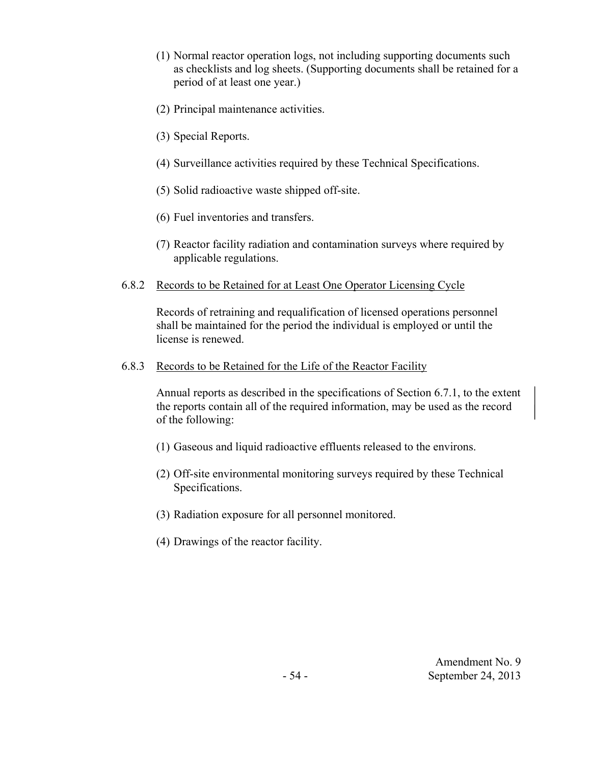- (1) Normal reactor operation logs, not including supporting documents such as checklists and log sheets. (Supporting documents shall be retained for a period of at least one year.)
- (2) Principal maintenance activities.
- (3) Special Reports.
- (4) Surveillance activities required by these Technical Specifications.
- (5) Solid radioactive waste shipped off-site.
- (6) Fuel inventories and transfers.
- (7) Reactor facility radiation and contamination surveys where required by applicable regulations.
- 6.8.2 Records to be Retained for at Least One Operator Licensing Cycle

Records of retraining and requalification of licensed operations personnel shall be maintained for the period the individual is employed or until the license is renewed.

6.8.3 Records to be Retained for the Life of the Reactor Facility

Annual reports as described in the specifications of Section 6.7.1, to the extent the reports contain all of the required information, may be used as the record of the following:

- (1) Gaseous and liquid radioactive effluents released to the environs.
- (2) Off-site environmental monitoring surveys required by these Technical Specifications.
- (3) Radiation exposure for all personnel monitored.
- (4) Drawings of the reactor facility.

Amendment No. 9 - 54 - September 24, 2013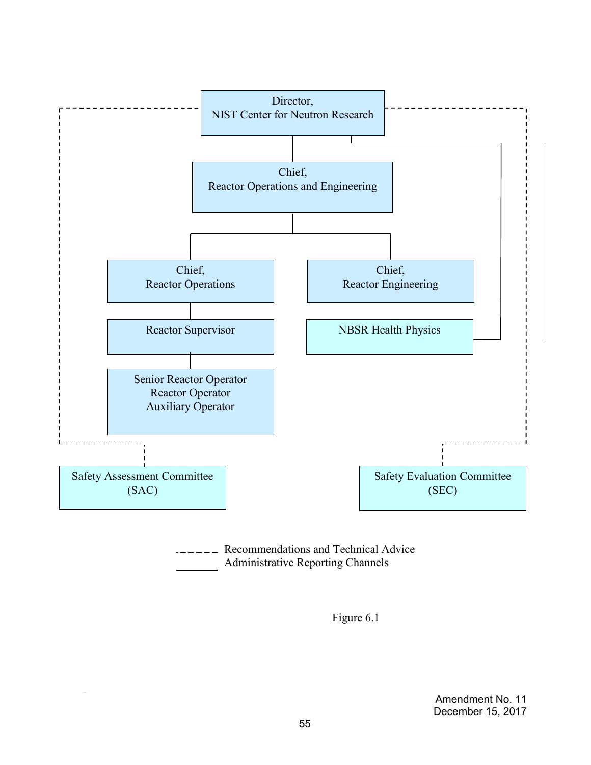

**EXECOMMENDER** Recommendations and Technical Advice Administrative Reporting Channels

Figure 6.1